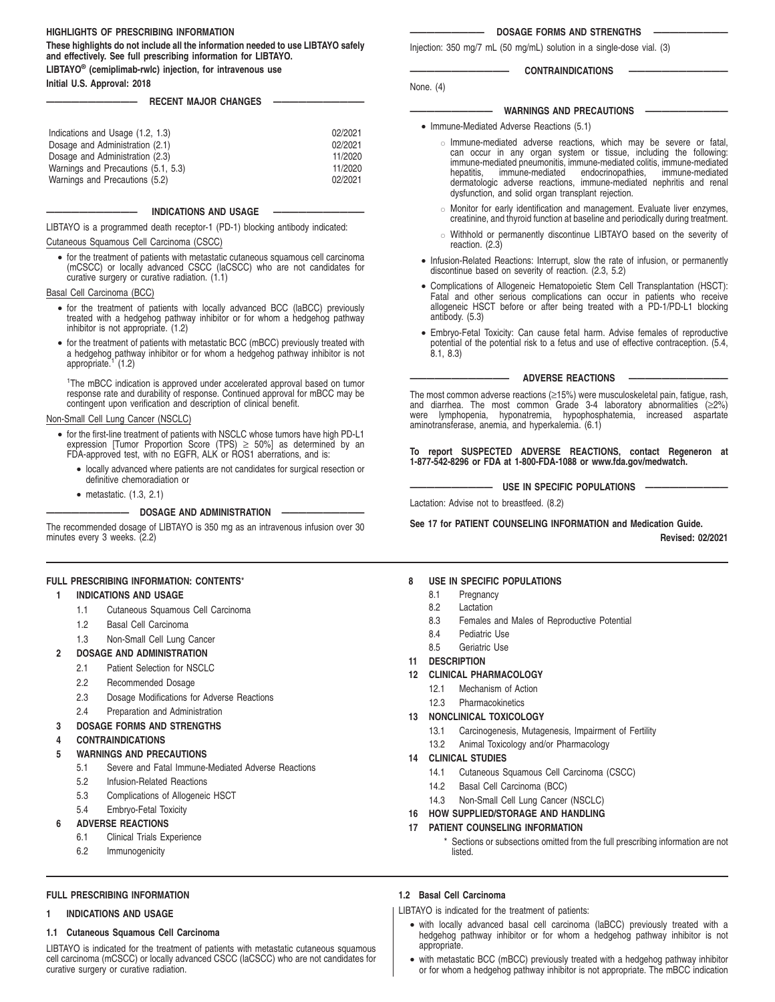### **HIGHLIGHTS OF PRESCRIBING INFORMATION**

**These highlights do not include all the information needed to use LIBTAYO safely and effectively. See full prescribing information for LIBTAYO.**

**LIBTAYO® (cemiplimab-rwlc) injection, for intravenous use**

**Initial U.S. Approval: 2018**

### **RECENT MAJOR CHANGES**

| Indications and Usage (1.2, 1.3)    | 02/2021 |
|-------------------------------------|---------|
| Dosage and Administration (2.1)     | 02/2021 |
| Dosage and Administration (2.3)     | 11/2020 |
| Warnings and Precautions (5.1, 5.3) | 11/2020 |
| Warnings and Precautions (5.2)      | 02/2021 |

### **INDICATIONS AND USAGE**

LIBTAYO is a programmed death receptor-1 (PD-1) blocking antibody indicated:

#### Cutaneous Squamous Cell Carcinoma (CSCC)

• for the treatment of patients with metastatic cutaneous squamous cell carcinoma (mCSCC) or locally advanced CSCC (laCSCC) who are not candidates for curative surgery or curative radiation. (1.1)

### Basal Cell Carcinoma (BCC)

- for the treatment of patients with locally advanced BCC (laBCC) previously treated with a hedgehog pathway inhibitor or for whom a hedgehog pathway inhibitor is not appropriate. (1.2)
- for the treatment of patients with metastatic BCC (mBCC) previously treated with a hedgehog pathway inhibitor or for whom a hedgehog pathway inhibitor is not appropriate.<sup>1</sup> (1.2)

<sup>1</sup>The mBCC indication is approved under accelerated approval based on tumor response rate and durability of response. Continued approval for mBCC may be contingent upon verification and description of clinical benefit.

#### Non-Small Cell Lung Cancer (NSCLC)

- for the first-line treatment of patients with NSCLC whose tumors have high PD-L1 expression [Tumor Proportion Score (TPS) ≥ 50%] as determined by an FDA-approved test, with no EGFR, ALK or ROS1 aberrations, and is:
	- locally advanced where patients are not candidates for surgical resection or definitive chemoradiation or
	- metastatic. (1.3, 2.1)

#### **—————————— DOSAGE AND ADMINISTRATION ——————————**

The recommended dosage of LIBTAYO is 350 mg as an intravenous infusion over 30 minutes every 3 weeks. (2.2)

### **FULL PRESCRIBING INFORMATION: CONTENTS**\*

### **1 INDICATIONS AND USAGE**

- 1.1 Cutaneous Squamous Cell Carcinoma
- 1.2 Basal Cell Carcinoma
- 1.3 Non-Small Cell Lung Cancer
- **2 DOSAGE AND ADMINISTRATION**
	- 2.1 Patient Selection for NSCLC
	- 2.2 Recommended Dosage
	- 2.3 Dosage Modifications for Adverse Reactions
	- 2.4 Preparation and Administration
- **3 DOSAGE FORMS AND STRENGTHS**

### **4 CONTRAINDICATIONS**

- **5 WARNINGS AND PRECAUTIONS**
	- 5.1 Severe and Fatal Immune-Mediated Adverse Reactions
	- 5.2 Infusion-Related Reactions
	- 5.3 Complications of Allogeneic HSCT
	- 5.4 Embryo-Fetal Toxicity

### **6 ADVERSE REACTIONS**

- 6.1 Clinical Trials Experience
- 6.2 Immunogenicity

#### **————————— DOSAGE FORMS AND STRENGTHS —————————**

Injection: 350 mg/7 mL (50 mg/mL) solution in a single-dose vial. (3)

### CONTRAINDICATIONS

None. (4)

### **WARNINGS AND PRECAUTIONS**

- Immune-Mediated Adverse Reactions (5.1)
	- " Immune-mediated adverse reactions, which may be severe or fatal, can occur in any organ system or tissue, including the following: immune-mediated pneumonitis, immune-mediated colitis, immune-mediated immune-mediated dermatologic adverse reactions, immune-mediated nephritis and renal dysfunction, and solid organ transplant rejection.
	- $\circ$  Monitor for early identification and management. Evaluate liver enzymes, creatinine, and thyroid function at baseline and periodically during treatment.
	- o Withhold or permanently discontinue LIBTAYO based on the severity of reaction. (2.3)
- Infusion-Related Reactions: Interrupt, slow the rate of infusion, or permanently discontinue based on severity of reaction. (2.3, 5.2)
- Complications of Allogeneic Hematopoietic Stem Cell Transplantation (HSCT): Fatal and other serious complications can occur in patients who receive allogeneic HSCT before or after being treated with a PD-1/PD-L1 blocking antibody. (5.3)
- Embryo-Fetal Toxicity: Can cause fetal harm. Advise females of reproductive potential of the potential risk to a fetus and use of effective contraception. (5.4, 8.1, 8.3)

### **ADVERSE REACTIONS**

The most common adverse reactions (≥15%) were musculoskeletal pain, fatigue, rash, and diarrhea. The most common Grade 3-4 laboratory abnormalities (≥2%) were lymphopenia, hyponatremia, hypophosphatemia, increased aspartate aminotransferase, anemia, and hyperkalemia. (6.1)

**To report SUSPECTED ADVERSE REACTIONS, contact Regeneron at 1-877-542-8296 or FDA at 1-800-FDA-1088 or www.fda.gov/medwatch.**

 $-$  USE IN SPECIFIC POPULATIONS -

Lactation: Advise not to breastfeed. (8.2)

**See 17 for PATIENT COUNSELING INFORMATION and Medication Guide. Revised: 02/2021**

### **8 USE IN SPECIFIC POPULATIONS**

- 
- 8.2 Lactation
- 
- 8.4 Pediatric Use
- 8.5 Geriatric Use
- **11 DESCRIPTION**
- **12 CLINICAL PHARMACOLOGY**
	- 12.1 Mechanism of Action
	- 12.3 Pharmacokinetics

### **13 NONCLINICAL TOXICOLOGY**

- 13.1 Carcinogenesis, Mutagenesis, Impairment of Fertility
- 13.2 Animal Toxicology and/or Pharmacology

### **14 CLINICAL STUDIES**

- 14.1 Cutaneous Squamous Cell Carcinoma (CSCC)
- 14.2 Basal Cell Carcinoma (BCC)
- 14.3 Non-Small Cell Lung Cancer (NSCLC)
- **16 HOW SUPPLIED/STORAGE AND HANDLING**

### **17 PATIENT COUNSELING INFORMATION**

Sections or subsections omitted from the full prescribing information are not listed.

### **FULL PRESCRIBING INFORMATION**

### **1 INDICATIONS AND USAGE**

### **1.1 Cutaneous Squamous Cell Carcinoma**

LIBTAYO is indicated for the treatment of patients with metastatic cutaneous squamous cell carcinoma (mCSCC) or locally advanced CSCC (laCSCC) who are not candidates for curative surgery or curative radiation.

### **1.2 Basal Cell Carcinoma**

LIBTAYO is indicated for the treatment of patients:

- with locally advanced basal cell carcinoma (laBCC) previously treated with a hedgehog pathway inhibitor or for whom a hedgehog pathway inhibitor is not appropriate.
- with metastatic BCC (mBCC) previously treated with a hedgehog pathway inhibitor or for whom a hedgehog pathway inhibitor is not appropriate. The mBCC indication
- 8.1 Pregnancy
- 
- 8.3 Females and Males of Reproductive Potential
- 
- 

- -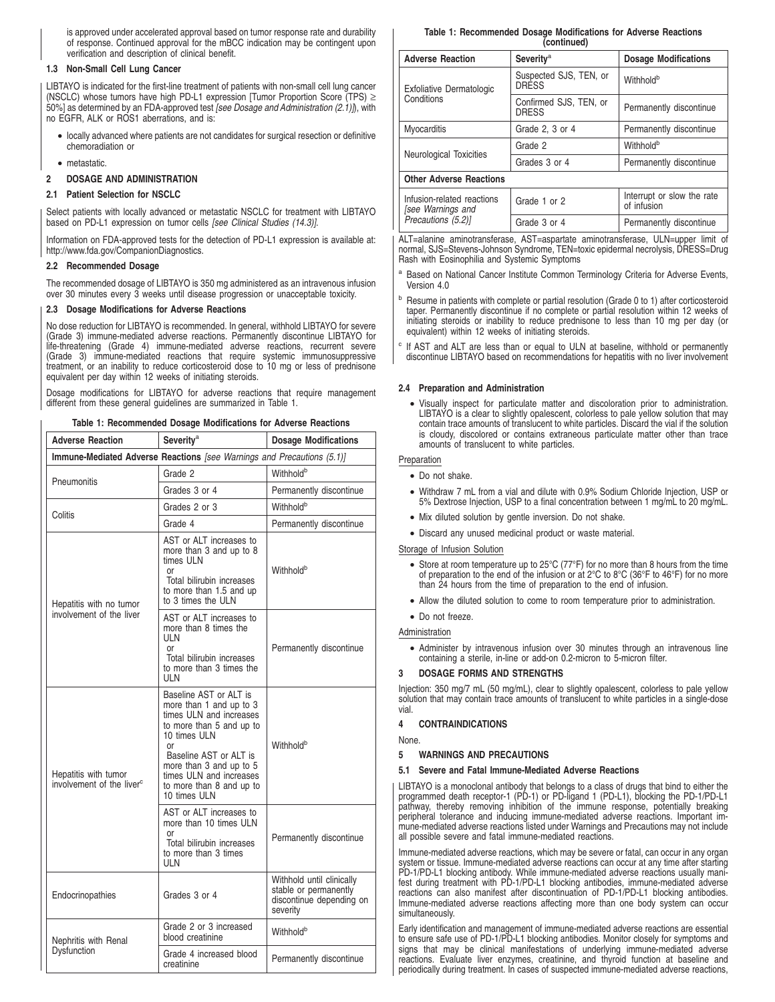is approved under accelerated approval based on tumor response rate and durability of response. Continued approval for the mBCC indication may be contingent upon verification and description of clinical benefit.

### **1.3 Non-Small Cell Lung Cancer**

LIBTAYO is indicated for the first-line treatment of patients with non-small cell lung cancer (NSCLC) whose tumors have high PD-L1 expression [Tumor Proportion Score (TPS) ≥ 50%] as determined by an FDA-approved test [see Dosage and Administration (2.1)]), with no EGFR, ALK or ROS1 aberrations, and is:

- locally advanced where patients are not candidates for surgical resection or definitive chemoradiation or
- metastatic.
- **2 DOSAGE AND ADMINISTRATION**

### **2.1 Patient Selection for NSCLC**

Select patients with locally advanced or metastatic NSCLC for treatment with LIBTAYO based on PD-L1 expression on tumor cells [see Clinical Studies (14.3)].

Information on FDA-approved tests for the detection of PD-L1 expression is available at: http://www.fda.gov/CompanionDiagnostics.

### **2.2 Recommended Dosage**

The recommended dosage of LIBTAYO is 350 mg administered as an intravenous infusion over 30 minutes every 3 weeks until disease progression or unacceptable toxicity.

### **2.3 Dosage Modifications for Adverse Reactions**

No dose reduction for LIBTAYO is recommended. In general, withhold LIBTAYO for severe (Grade 3) immune-mediated adverse reactions. Permanently discontinue LIBTAYO for life-threatening (Grade 4) immune-mediated adverse reactions, recurrent severe (Grade 3) immune-mediated reactions that require systemic immunosuppressive treatment, or an inability to reduce corticosteroid dose to 10 mg or less of prednisone equivalent per day within 12 weeks of initiating steroids.

Dosage modifications for LIBTAYO for adverse reactions that require management different from these general guidelines are summarized in Table 1.

### **Table 1: Recommended Dosage Modifications for Adverse Reactions**

| <b>Adverse Reaction</b>                                                | <b>Severity<sup>a</sup></b>                                                                                                                                                                                                                                | <b>Dosage Modifications</b>                                                                |  |  |  |
|------------------------------------------------------------------------|------------------------------------------------------------------------------------------------------------------------------------------------------------------------------------------------------------------------------------------------------------|--------------------------------------------------------------------------------------------|--|--|--|
| Immune-Mediated Adverse Reactions [see Warnings and Precautions (5.1)] |                                                                                                                                                                                                                                                            |                                                                                            |  |  |  |
| Pneumonitis                                                            | Grade 2                                                                                                                                                                                                                                                    | Withhold <sup>b</sup>                                                                      |  |  |  |
|                                                                        | Grades 3 or 4                                                                                                                                                                                                                                              | Permanently discontinue                                                                    |  |  |  |
|                                                                        | Grades 2 or 3                                                                                                                                                                                                                                              | Withholdb                                                                                  |  |  |  |
| Colitis                                                                | Grade 4                                                                                                                                                                                                                                                    | Permanently discontinue                                                                    |  |  |  |
| Hepatitis with no tumor                                                | AST or ALT increases to<br>more than 3 and up to 8<br>times ULN<br>or<br>Total bilirubin increases<br>to more than 1.5 and up<br>to 3 times the ULN                                                                                                        | Withhold <sup>b</sup>                                                                      |  |  |  |
| involvement of the liver                                               | AST or ALT increases to<br>more than 8 times the<br>UI N<br>or<br>Total bilirubin increases<br>to more than 3 times the<br>UI N                                                                                                                            | Permanently discontinue                                                                    |  |  |  |
| Hepatitis with tumor<br>involvement of the liver <sup>c</sup>          | Baseline AST or ALT is<br>more than 1 and up to 3<br>times ULN and increases<br>to more than 5 and up to<br>10 times ULN<br>0r<br>Baseline AST or ALT is<br>more than 3 and up to 5<br>times ULN and increases<br>to more than 8 and up to<br>10 times ULN | Withhold <sup>b</sup>                                                                      |  |  |  |
|                                                                        | AST or ALT increases to<br>more than 10 times ULN<br>or<br>Total bilirubin increases<br>to more than 3 times<br>UI N                                                                                                                                       | Permanently discontinue                                                                    |  |  |  |
| Endocrinopathies                                                       | Grades 3 or 4                                                                                                                                                                                                                                              | Withhold until clinically<br>stable or permanently<br>discontinue depending on<br>severity |  |  |  |
| Nephritis with Renal                                                   | Grade 2 or 3 increased<br>blood creatinine                                                                                                                                                                                                                 | Withhold <sup>b</sup>                                                                      |  |  |  |
| Dysfunction                                                            | Grade 4 increased blood<br>creatinine                                                                                                                                                                                                                      | Permanently discontinue                                                                    |  |  |  |

**Table 1: Recommended Dosage Modifications for Adverse Reactions (continued)**

| <b>Adverse Reaction</b>                         | Severity <sup>a</sup>                  | <b>Dosage Modifications</b>               |
|-------------------------------------------------|----------------------------------------|-------------------------------------------|
| <b>Exfoliative Dermatologic</b>                 | Suspected SJS, TEN, or<br><b>DRESS</b> | Withhold <sup>b</sup>                     |
| Conditions                                      | Confirmed SJS, TEN, or<br><b>DRESS</b> | Permanently discontinue                   |
| Myocarditis                                     | Grade 2, 3 or 4                        | Permanently discontinue                   |
| Neurological Toxicities                         | Grade 2                                | Withhold <sup>b</sup>                     |
|                                                 | Grades 3 or 4                          | Permanently discontinue                   |
| <b>Other Adverse Reactions</b>                  |                                        |                                           |
| Infusion-related reactions<br>[see Warnings and | Grade 1 or 2                           | Interrupt or slow the rate<br>of infusion |
| Precautions (5.2)]                              | Grade 3 or 4                           | Permanently discontinue                   |

ALT=alanine aminotransferase, AST=aspartate aminotransferase, ULN=upper limit of normal, SJS=Stevens-Johnson Syndrome, TEN=toxic epidermal necrolysis, DRESS=Drug Rash with Eosinophilia and Systemic Symptoms

- a Based on National Cancer Institute Common Terminology Criteria for Adverse Events, Version 4.0
- Resume in patients with complete or partial resolution (Grade 0 to 1) after corticosteroid taper. Permanently discontinue if no complete or partial resolution within 12 weeks of initiating steroids or inability to reduce prednisone to less than 10 mg per day (or equivalent) within 12 weeks of initiating steroids.
- c If AST and ALT are less than or equal to ULN at baseline, withhold or permanently discontinue LIBTAYO based on recommendations for hepatitis with no liver involvement

### **2.4 Preparation and Administration**

• Visually inspect for particulate matter and discoloration prior to administration. LIBTAYO is a clear to slightly opalescent, colorless to pale yellow solution that may contain trace amounts of translucent to white particles. Discard the vial if the solution is cloudy, discolored or contains extraneous particulate matter other than trace amounts of translucent to white particles.

## Preparation

• Do not shake.

- Withdraw 7 mL from a vial and dilute with 0.9% Sodium Chloride Injection, USP or 5% Dextrose Injection, USP to a final concentration between 1 mg/mL to 20 mg/mL.
- Mix diluted solution by gentle inversion. Do not shake.
- Discard any unused medicinal product or waste material.

### Storage of Infusion Solution

- Store at room temperature up to 25°C (77°F) for no more than 8 hours from the time of preparation to the end of the infusion or at 2°C to 8°C (36°F to 46°F) for no more than 24 hours from the time of preparation to the end of infusion.
- Allow the diluted solution to come to room temperature prior to administration.
- Do not freeze.

### **Administration**

• Administer by intravenous infusion over 30 minutes through an intravenous line containing a sterile, in-line or add-on 0.2-micron to 5-micron filter.

### **3 DOSAGE FORMS AND STRENGTHS**

Injection: 350 mg/7 mL (50 mg/mL), clear to slightly opalescent, colorless to pale yellow solution that may contain trace amounts of translucent to white particles in a single-dose vial.

### **4 CONTRAINDICATIONS**

**None** 

**5 WARNINGS AND PRECAUTIONS**

### **5.1 Severe and Fatal Immune-Mediated Adverse Reactions**

LIBTAYO is a monoclonal antibody that belongs to a class of drugs that bind to either the programmed death receptor-1 (PD-1) or PD-ligand 1 (PD-L1), blocking the PD-1/PD-L1 pathway, thereby removing inhibition of the immune response, potentially breaking peripheral tolerance and inducing immune-mediated adverse reactions. Important immune-mediated adverse reactions listed under Warnings and Precautions may not include all possible severe and fatal immune-mediated reactions.

Immune-mediated adverse reactions, which may be severe or fatal, can occur in any organ system or tissue. Immune-mediated adverse reactions can occur at any time after starting PD-1/PD-L1 blocking antibody. While immune-mediated adverse reactions usually manifest during treatment with PD-1/PD-L1 blocking antibodies, immune-mediated adverse reactions can also manifest after discontinuation of PD-1/PD-L1 blocking antibodies. Immune-mediated adverse reactions affecting more than one body system can occur simultaneously.

Early identification and management of immune-mediated adverse reactions are essential to ensure safe use of PD-1/PD-L1 blocking antibodies. Monitor closely for symptoms and signs that may be clinical manifestations of underlying immune-mediated adverse reactions. Evaluate liver enzymes, creatinine, and thyroid function at baseline and periodically during treatment. In cases of suspected immune-mediated adverse reactions,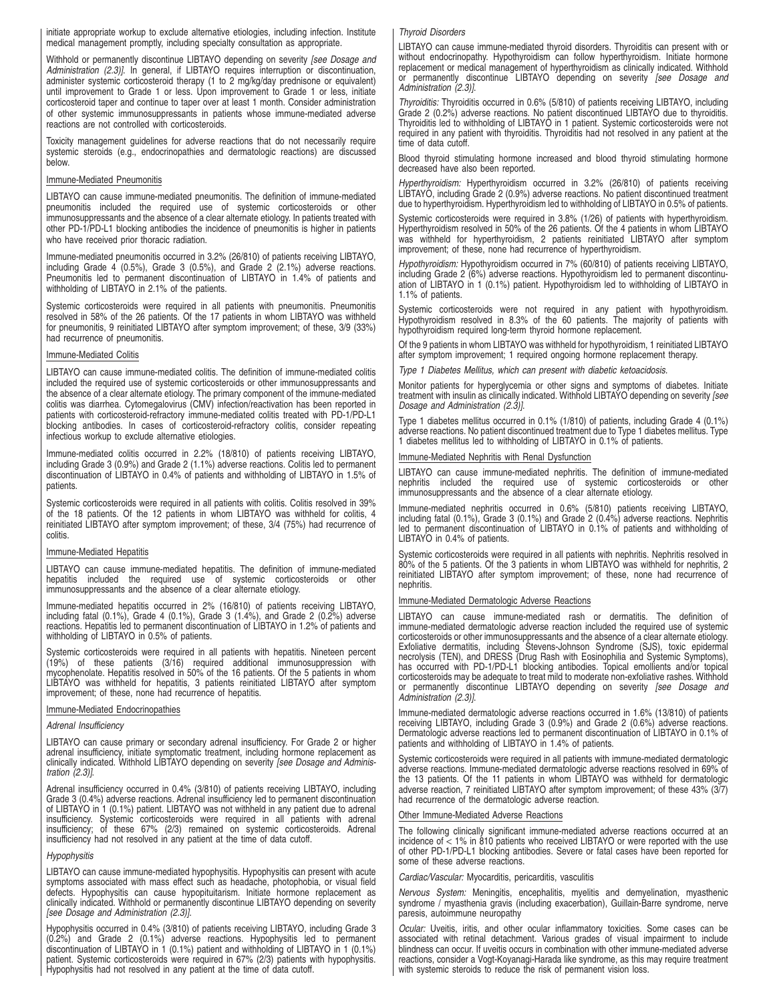initiate appropriate workup to exclude alternative etiologies, including infection. Institute medical management promptly, including specialty consultation as appropriate.

Withhold or permanently discontinue LIBTAYO depending on severity [see Dosage and Administration (2.3)]. In general, if LIBTAYO requires interruption or discontinuation, administer systemic corticosteroid therapy (1 to 2 mg/kg/day prednisone or equivalent) until improvement to Grade 1 or less. Upon improvement to Grade 1 or less, initiate corticosteroid taper and continue to taper over at least 1 month. Consider administration of other systemic immunosuppressants in patients whose immune-mediated adverse reactions are not controlled with corticosteroids.

Toxicity management guidelines for adverse reactions that do not necessarily require systemic steroids (e.g., endocrinopathies and dermatologic reactions) are discussed below.

### Immune-Mediated Pneumonitis

LIBTAYO can cause immune-mediated pneumonitis. The definition of immune-mediated pneumonitis included the required use of systemic corticosteroids or other immunosuppressants and the absence of a clear alternate etiology. In patients treated with other PD-1/PD-L1 blocking antibodies the incidence of pneumonitis is higher in patients who have received prior thoracic radiation.

Immune-mediated pneumonitis occurred in 3.2% (26/810) of patients receiving LIBTAYO, including Grade 4 (0.5%), Grade 3 (0.5%), and Grade 2 (2.1%) adverse reactions. Pneumonitis led to permanent discontinuation of LIBTAYO in 1.4% of patients and withholding of LIBTAYO in 2.1% of the patients.

Systemic corticosteroids were required in all patients with pneumonitis. Pneumonitis resolved in 58% of the 26 patients. Of the 17 patients in whom LIBTAYO was withheld for pneumonitis, 9 reinitiated LIBTAYO after symptom improvement; of these, 3/9 (33%) had recurrence of pneumonitis.

### Immune-Mediated Colitis

LIBTAYO can cause immune-mediated colitis. The definition of immune-mediated colitis included the required use of systemic corticosteroids or other immunosuppressants and the absence of a clear alternate etiology. The primary component of the immune-mediated colitis was diarrhea. Cytomegalovirus (CMV) infection/reactivation has been reported in patients with corticosteroid-refractory immune-mediated colitis treated with PD-1/PD-L1 blocking antibodies. In cases of corticosteroid-refractory colitis, consider repeating infectious workup to exclude alternative etiologies.

Immune-mediated colitis occurred in 2.2% (18/810) of patients receiving LIBTAYO, including Grade 3 (0.9%) and Grade 2 (1.1%) adverse reactions. Colitis led to permanent discontinuation of LIBTAYO in 0.4% of patients and withholding of LIBTAYO in 1.5% of patients.

Systemic corticosteroids were required in all patients with colitis. Colitis resolved in 39% of the 18 patients. Of the 12 patients in whom LIBTAYO was withheld for colitis, 4 reinitiated LIBTAYO after symptom improvement; of these, 3/4 (75%) had recurrence of colitis.

### Immune-Mediated Hepatitis

LIBTAYO can cause immune-mediated hepatitis. The definition of immune-mediated hepatitis included the required use of systemic corticosteroids or other immunosuppressants and the absence of a clear alternate etiology.

Immune-mediated hepatitis occurred in 2% (16/810) of patients receiving LIBTAYO, including fatal (0.1%), Grade 4 (0.1%), Grade 3 (1.4%), and Grade 2 (0.2%) adverse reactions. Hepatitis led to permanent discontinuation of LIBTAYO in 1.2% of patients and withholding of LIBTAYO in 0.5% of patients.

Systemic corticosteroids were required in all patients with hepatitis. Nineteen percent (19%) of these patients (3/16) required additional immunosuppression with<br>mycophenolate. Hepatitis-resolved-in-50% of-the-16-patients. Of-the-5-patients-in-whom<br>LIBTAYO was withheld-for-hepatitis, 3 patients reinitiated LI improvement; of these, none had recurrence of hepatitis.

### Immune-Mediated Endocrinopathies

#### Adrenal Insufficiency

LIBTAYO can cause primary or secondary adrenal insufficiency. For Grade 2 or higher adrenal insufficiency, initiate symptomatic treatment, including hormone replacement as clinically indicated. Withhold LIBTAYO depending on severity [see Dosage and Administration (2.3)].

Adrenal insufficiency occurred in 0.4% (3/810) of patients receiving LIBTAYO, including Grade 3 (0.4%) adverse reactions. Adrenal insufficiency led to permanent discontinuation of LIBTAYO in 1 (0.1%) patient. LIBTAYO was not withheld in any patient due to adrenal insufficiency. Systemic corticosteroids were required in all patients with adrenal<br>insufficiency; of these 67% (2/3) remained on systemic corticosteroids. Adrenal<br>insufficiency had not resolved in any patient at the time o

### **Hypophysitis**

LIBTAYO can cause immune-mediated hypophysitis. Hypophysitis can present with acute<br>symptoms associated with mass effect such as headache, photophobia, or visual field<br>defects. Hypophysitis can cause hypopituitarism. clinically indicated. Withhold or permanently discontinue LIBTAYO depending on severity [see Dosage and Administration (2.3)].

Hypophysitis occurred in 0.4% (3/810) of patients receiving LIBTAYO, including Grade 3<br>(0.2%) and Grade 2 (0.1%) adverse reactions. Hypophysitis led to permanent<br>discontinuation of LIBTAYO in 1 (0.1%) patient and withholdi patient. Systemic corticosteroids were required in 67% (2/3) patients with hypophysitis. Hypophysitis had not resolved in any patient at the time of data cutoff.

#### Thyroid Disorders

LIBTAYO can cause immune-mediated thyroid disorders. Thyroiditis can present with or without endocrinopathy. Hypothyroidism can follow hyperthyroidism. Initiate hormone replacement or medical management of hyperthyroidism as clinically indicated. Withhold<br>or permanently discontinue LIBTAYO depending on severity *[see Dosage and* Administration (2.3)].

Thyroiditis: Thyroiditis occurred in 0.6% (5/810) of patients receiving LIBTAYO, including Grade 2 (0.2%) adverse reactions. No patient discontinued LIBTAYO due to thyroiditis. Thyroiditis led to withholding of LIBTAYO in 1 patient. Systemic corticosteroids were not required in any patient with thyroiditis. Thyroiditis had not resolved in any patient at the time of data cutoff.

Blood thyroid stimulating hormone increased and blood thyroid stimulating hormone decreased have also been reported.

Hyperthyroidism: Hyperthyroidism occurred in 3.2% (26/810) of patients receiving LIBTAYO, including Grade 2 (0.9%) adverse reactions. No patient discontinued treatment due to hyperthyroidism. Hyperthyroidism led to withholding of LIBTAYO in 0.5% of patients.

Systemic corticosteroids were required in 3.8% (1/26) of patients with hyperthyroidism. Hyperthyroidism resolved in 50% of the 26 patients. Of the 4 patients in whom LIBTAYO was withheld for hyperthyroidism, 2 patients reinitiated LIBTAYO after symptom improvement; of these, none had recurrence of hyperthyroidism.

Hypothyroidism: Hypothyroidism occurred in 7% (60/810) of patients receiving LIBTAYO, including Grade 2 (6%) adverse reactions. Hypothyroidism led to permanent discontinu-ation of LIBTAYO in 1 (0.1%) patient. Hypothyroidism led to withholding of LIBTAYO in 1.1% of patients.

Systemic corticosteroids were not required in any patient with hypothyroidism. Hypothyroidism resolved in 8.3% of the 60 patients. The majority of patients with hypothyroidism required long-term thyroid hormone replacement.

Of the 9 patients in whom LIBTAYO was withheld for hypothyroidism, 1 reinitiated LIBTAYO after symptom improvement; 1 required ongoing hormone replacement therapy.

Type 1 Diabetes Mellitus, which can present with diabetic ketoacidosis.

Monitor patients for hyperglycemia or other signs and symptoms of diabetes. Initiate treatment with insulin as clinically indicated. Withhold LIBTAYO depending on severity *[see*<br>*Dosage and Administration (2.3)]*.

Type 1 diabetes mellitus occurred in 0.1% (1/810) of patients, including Grade 4 (0.1%) adverse reactions. No patient discontinued treatment due to Type 1 diabetes mellitus. Type 1 diabetes mellitus led to withholding of LIBTAYO in 0.1% of patients.

### Immune-Mediated Nephritis with Renal Dysfunction

LIBTAYO can cause immune-mediated nephritis. The definition of immune-mediated nephritis included the required use of systemic corticosteroids or other immunosuppressants and the absence of a clear alternate etiology.

Immune-mediated nephritis occurred in 0.6% (5/810) patients receiving LIBTAYO, including fatal (0.1%), Grade 3 (0.1%) and Grade 2 (0.4%) adverse reactions. Nephritis led to permanent discontinuation of LIBTAYO in 0.1% of patients and withholding of LIBTAYO in 0.4% of patients.

Systemic corticosteroids were required in all patients with nephritis. Nephritis resolved in 80% of the 5 patients. Of the 3 patients in whom LIBTAYO was withheld for nephritis, 2 reinitiated LIBTAYO after symptom improvement; of these, none had recurrence of nephritis.

#### Immune-Mediated Dermatologic Adverse Reactions

LIBTAYO can cause immune-mediated rash or dermatitis. The definition of immune-mediated dermatologic adverse reaction included the required use of systemic corticosteroids or other immunosuppressants and the absence of a clear alternate etiology. Exfoliative dermatitis, including Stevens-Johnson Syndrome (SJS), toxic epidermal necrolysis (TEN), and DRESS (Drug Rash with Eosinophilia and Systemic Symptoms), has occurred with PD-1/PD-L1 blocking antibodies. Topical emollients and/or topical corticosteroids may be adequate to treat mild to moderate non-exfoliative rashes. Withhold or permanently discontinue LIBTAYO depending on severity [see Dosage and Administration (2.3)].

Immune-mediated dermatologic adverse reactions occurred in 1.6% (13/810) of patients receiving LIBTAYO, including Grade 3 (0.9%) and Grade 2 (0.6%) adverse reactions. Dermatologic adverse reactions led to permanent discontinuation of LIBTAYO in 0.1% of patients and withholding of LIBTAYO in 1.4% of patients.

Systemic corticosteroids were required in all patients with immune-mediated dermatologic<br>adverse reactions. Immune-mediated dermatologic adverse reactions resolved in 69% of<br>the 13 patients. Of the 11 patients in whom LIBT adverse reaction, 7 reinitiated LIBTAYO after symptom improvement; of these 43% (3/7) had recurrence of the dermatologic adverse reaction.

### Other Immune-Mediated Adverse Reactions

The following clinically significant immune-mediated adverse reactions occurred at an incidence of < 1% in 810 patients who received LIBTAYO or were reported with the use of other PD-1/PD-L1 blocking antibodies. Severe or fatal cases have been reported for some of these adverse reactions.

#### Cardiac/Vascular: Myocarditis, pericarditis, vasculitis

Nervous System: Meningitis, encephalitis, myelitis and demyelination, myasthenic<br>syndrome / myasthenia gravis (including exacerbation), Guillain-Barre syndrome, nerve paresis, autoimmune neuropathy

Ocular: Uveitis, iritis, and other ocular inflammatory toxicities. Some cases can be<br>associated with retinal detachment. Various grades of visual impairment to include blindness can occur. If uveitis occurs in combination with other immune-mediated adverse reactions, consider a Vogt-Koyanagi-Harada like syndrome, as this may require treatment with systemic steroids to reduce the risk of permanent vision loss.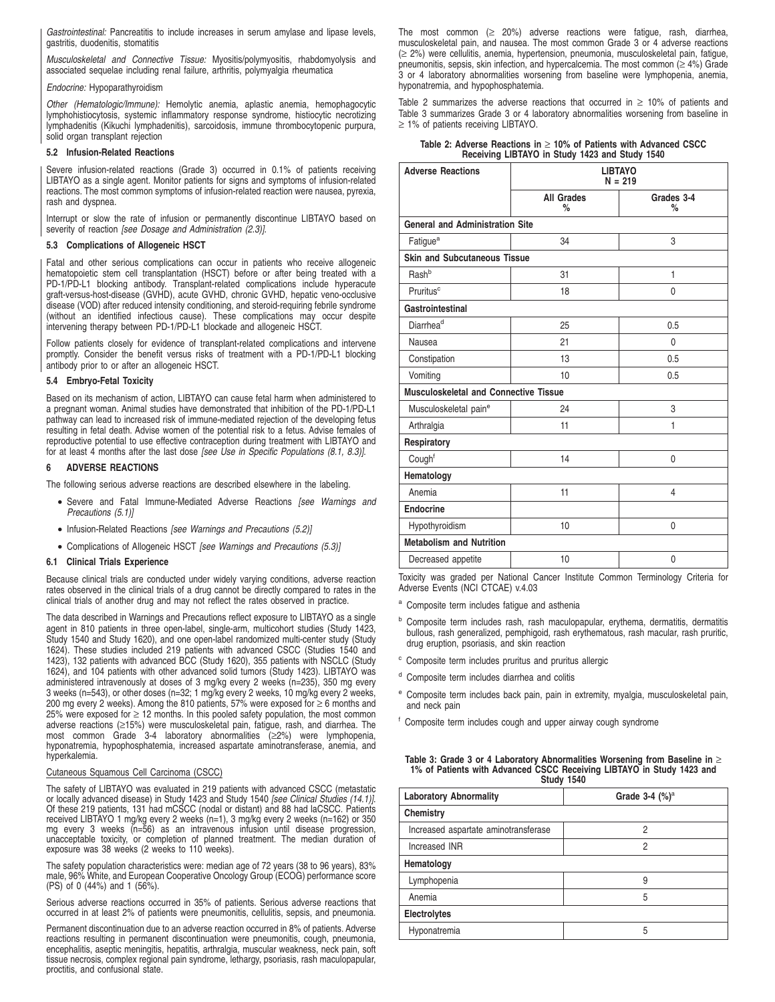Gastrointestinal: Pancreatitis to include increases in serum amylase and lipase levels, gastritis, duodenitis, stomatitis

Musculoskeletal and Connective Tissue: Myositis/polymyositis, rhabdomyolysis and associated sequelae including renal failure, arthritis, polymyalgia rheumatica

### Endocrine: Hypoparathyroidism

Other (Hematologic/Immune): Hemolytic anemia, aplastic anemia, hemophagocytic lymphohistiocytosis, systemic inflammatory response syndrome, histiocytic necrotizing lymphadenitis (Kikuchi lymphadenitis), sarcoidosis, immune thrombocytopenic purpura, solid organ transplant rejection

### **5.2 Infusion-Related Reactions**

Severe infusion-related reactions (Grade 3) occurred in 0.1% of patients receiving LIBTAYO as a single agent. Monitor patients for signs and symptoms of infusion-related reactions. The most common symptoms of infusion-related reaction were nausea, pyrexia, rash and dyspnea.

Interrupt or slow the rate of infusion or permanently discontinue LIBTAYO based on severity of reaction [see Dosage and Administration (2.3)].

### **5.3 Complications of Allogeneic HSCT**

Fatal and other serious complications can occur in patients who receive allogeneic hematopoietic stem cell transplantation (HSCT) before or after being treated with a PD-1/PD-L1 blocking antibody. Transplant-related complications include hyperacute graft-versus-host-disease (GVHD), acute GVHD, chronic GVHD, hepatic veno-occlusive disease (VOD) after reduced intensity conditioning, and steroid-requiring febrile syndrome (without an identified infectious cause). These complications may occur despite intervening therapy between PD-1/PD-L1 blockade and allogeneic HSCT.

Follow patients closely for evidence of transplant-related complications and intervene promptly. Consider the benefit versus risks of treatment with a PD-1/PD-L1 blocking antibody prior to or after an allogeneic HSCT.

### **5.4 Embryo-Fetal Toxicity**

Based on its mechanism of action, LIBTAYO can cause fetal harm when administered to a pregnant woman. Animal studies have demonstrated that inhibition of the PD-1/PD-L1 pathway can lead to increased risk of immune-mediated rejection of the developing fetus resulting in fetal death. Advise women of the potential risk to a fetus. Advise females of reproductive potential to use effective contraception during treatment with LIBTAYO and for at least 4 months after the last dose [see Use in Specific Populations (8.1, 8.3)].

### **6 ADVERSE REACTIONS**

The following serious adverse reactions are described elsewhere in the labeling.

- Severe and Fatal Immune-Mediated Adverse Reactions [see Warnings and Precautions (5.1)]
- Infusion-Related Reactions [see Warnings and Precautions (5.2)]
- Complications of Allogeneic HSCT [see Warnings and Precautions (5.3)]

### **6.1 Clinical Trials Experience**

Because clinical trials are conducted under widely varying conditions, adverse reaction rates observed in the clinical trials of a drug cannot be directly compared to rates in the clinical trials of another drug and may not reflect the rates observed in practice.

The data described in Warnings and Precautions reflect exposure to LIBTAYO as a single agent in 810 patients in three open-label, single-arm, multicohort studies (Study 1423, Study 1540 and Study 1620), and one open-label randomized multi-center study (Study 1624). These studies included 219 patients with advanced CSCC (Studies 1540 and 1423), 132 patients with advanced BCC (Study 1620), 355 patients with NSCLC (Study 1624), and 104 patients with other advanced solid tumors (Study 1423). LIBTAYO was administered intravenously at doses of 3 mg/kg every 2 weeks (n=235), 350 mg every 3 weeks (n=543), or other doses (n=32; 1 mg/kg every 2 weeks, 10 mg/kg every 2 weeks, 200 mg every 2 weeks). Among the 810 patients, 57% were exposed for ≥ 6 months and 25% were exposed for  $\geq$  12 months. In this pooled safety population, the most common adverse reactions (≥15%) were musculoskeletal pain, fatigue, rash, and diarrhea. The most common Grade 3-4 laboratory abnormalities (≥2%) were lymphopenia, hyponatremia, hypophosphatemia, increased aspartate aminotransferase, anemia, and hyperkalemia.

### Cutaneous Squamous Cell Carcinoma (CSCC)

The safety of LIBTAYO was evaluated in 219 patients with advanced CSCC (metastatic or locally advanced disease) in Study 1423 and Study 1540 *[see Clinical Studies (14.1)].*<br>Of these 219 patients, 131 had mCSCC (nodal or distant) and 88 had laCSCC. Patients received LIBTAYO 1 mg/kg every 2 weeks (n=1), 3 mg/kg every 2 weeks (n=162) or 350 mg every 3 weeks (n=56) as an intravenous infusion until disease progression, unacceptable toxicity, or completion of planned treatment. The median duration of exposure was 38 weeks (2 weeks to 110 weeks).

The safety population characteristics were: median age of 72 years (38 to 96 years), 83% male, 96% White, and European Cooperative Oncology Group (ECOG) performance score (PS) of 0 (44%) and 1 (56%).

Serious adverse reactions occurred in 35% of patients. Serious adverse reactions that occurred in at least 2% of patients were pneumonitis, cellulitis, sepsis, and pneumonia.

Permanent discontinuation due to an adverse reaction occurred in 8% of patients. Adverse reactions resulting in permanent discontinuation were pneumonitis, cough, pneumonia, encephalitis, aseptic meningitis, hepatitis, arthralgia, muscular weakness, neck pain, soft tissue necrosis, complex regional pain syndrome, lethargy, psoriasis, rash maculopapular, proctitis, and confusional state.

The most common  $(≥ 20%)$  adverse reactions were fatigue, rash, diarrhea, musculoskeletal pain, and nausea. The most common Grade 3 or 4 adverse reactions (≥ 2%) were cellulitis, anemia, hypertension, pneumonia, musculoskeletal pain, fatigue, pneumonitis, sepsis, skin infection, and hypercalcemia. The most common ( $\geq 4\%$ ) Grade 3 or 4 laboratory abnormalities worsening from baseline were lymphopenia, anemia, hyponatremia, and hypophosphatemia.

Table 2 summarizes the adverse reactions that occurred in  $\geq$  10% of patients and Table 3 summarizes Grade 3 or 4 laboratory abnormalities worsening from baseline in ≥ 1% of patients receiving LIBTAYO.

**Table 2: Adverse Reactions in** ≥ **10% of Patients with Advanced CSCC Receiving LIBTAYO in Study 1423 and Study 1540**

| <b>Adverse Reactions</b>                     | <b>LIBTAYO</b><br>$N = 219$ |                    |  |  |
|----------------------------------------------|-----------------------------|--------------------|--|--|
|                                              | <b>All Grades</b><br>$\%$   | Grades 3-4<br>$\%$ |  |  |
| <b>General and Administration Site</b>       |                             |                    |  |  |
| Fatigue <sup>a</sup>                         | 34                          | 3                  |  |  |
| <b>Skin and Subcutaneous Tissue</b>          |                             |                    |  |  |
| Rash <sup>b</sup>                            | 31                          | $\mathbf{1}$       |  |  |
| Pruritus <sup>c</sup>                        | 18                          | 0                  |  |  |
| Gastrointestinal                             |                             |                    |  |  |
| Diarrhea <sup>d</sup>                        | 25                          | 0.5                |  |  |
| Nausea                                       | 21                          | 0                  |  |  |
| Constipation                                 | 13                          | 0.5                |  |  |
| Vomiting                                     | 10                          | 0.5                |  |  |
| <b>Musculoskeletal and Connective Tissue</b> |                             |                    |  |  |
| Musculoskeletal pain <sup>e</sup>            | 24                          | 3                  |  |  |
| Arthralgia                                   | 11                          | 1                  |  |  |
| Respiratory                                  |                             |                    |  |  |
| Cough <sup>f</sup>                           | 14                          | 0                  |  |  |
| Hematology                                   |                             |                    |  |  |
| Anemia                                       | 11                          | 4                  |  |  |
| <b>Endocrine</b>                             |                             |                    |  |  |
| Hypothyroidism                               | 10                          | 0                  |  |  |
| <b>Metabolism and Nutrition</b>              |                             |                    |  |  |
| Decreased appetite                           | 10                          | 0                  |  |  |

Toxicity was graded per National Cancer Institute Common Terminology Criteria for Adverse Events (NCI CTCAE) v.4.03

- <sup>a</sup> Composite term includes fatigue and asthenia
- <sup>b</sup> Composite term includes rash, rash maculopapular, erythema, dermatitis, dermatitis bullous, rash generalized, pemphigoid, rash erythematous, rash macular, rash pruritic, drug eruption, psoriasis, and skin reaction
- Composite term includes pruritus and pruritus allergic
- <sup>d</sup> Composite term includes diarrhea and colitis
- Composite term includes back pain, pain in extremity, myalgia, musculoskeletal pain, and neck pain
- <sup>f</sup> Composite term includes cough and upper airway cough syndrome

| Table 3: Grade 3 or 4 Laboratory Abnormalities Worsening from Baseline in $\geq$ |
|----------------------------------------------------------------------------------|
| 1% of Patients with Advanced CSCC Receiving LIBTAYO in Study 1423 and            |
| <b>Study 1540</b>                                                                |

| Grade $3-4$ $(\%)^a$ |  |  |
|----------------------|--|--|
|                      |  |  |
| 2                    |  |  |
| 2                    |  |  |
|                      |  |  |
| 9                    |  |  |
| 5                    |  |  |
| Electrolytes         |  |  |
| 5                    |  |  |
|                      |  |  |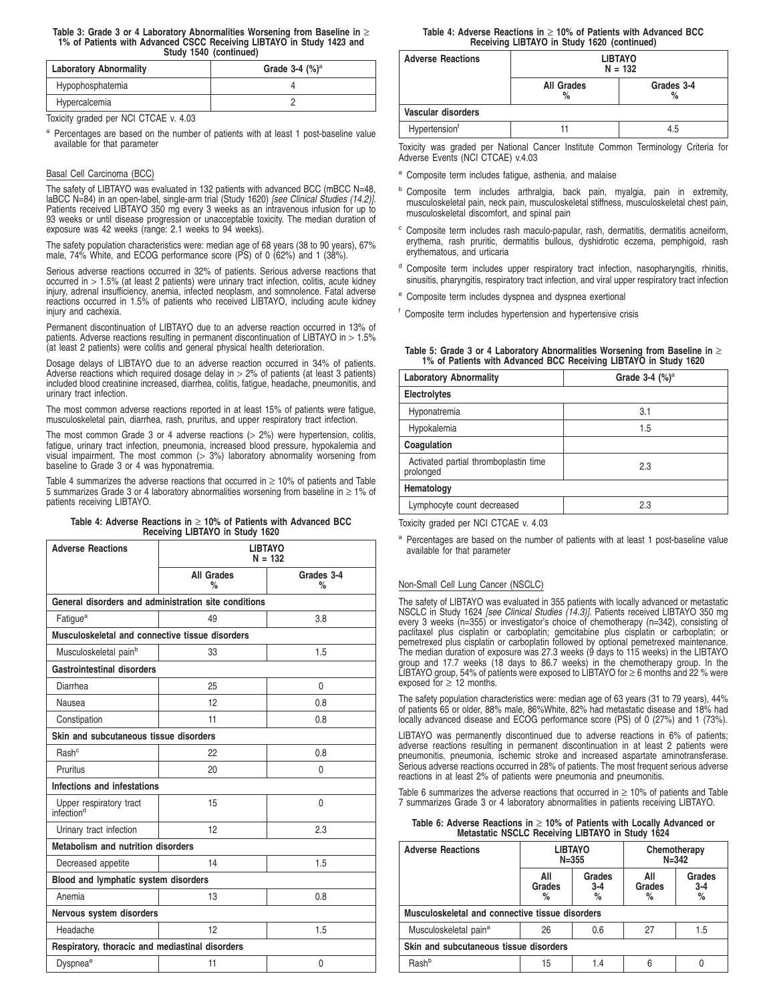#### **Table 3: Grade 3 or 4 Laboratory Abnormalities Worsening from Baseline in** ≥ **1% of Patients with Advanced CSCC Receiving LIBTAYO in Study 1423 and Study 1540 (continued)**

| <b>Laboratory Abnormality</b> | Grade $3-4$ $(\%)^a$ |
|-------------------------------|----------------------|
| Hypophosphatemia              |                      |
| Hypercalcemia                 |                      |

Toxicity graded per NCI CTCAE v. 4.03

<sup>a</sup> Percentages are based on the number of patients with at least 1 post-baseline value available for that parameter

### Basal Cell Carcinoma (BCC)

The safety of LIBTAYO was evaluated in 132 patients with advanced BCC (mBCC N=48, laBCC N=84) in an open-label, single-arm trial (Study 1620) [see Clinical Studies (14.2)]. Patients received LIBTAYO 350 mg every 3 weeks as an intravenous infusion for up to 93 weeks or until disease progression or unacceptable toxicity. The median duration of exposure was 42 weeks (range: 2.1 weeks to 94 weeks).

The safety population characteristics were: median age of 68 years (38 to 90 years), 67% male, 74% White, and ECOG performance score (PS) of 0 (62%) and 1 (38%).

Serious adverse reactions occurred in 32% of patients. Serious adverse reactions that occurred in > 1.5% (at least 2 patients) were urinary tract infection, colitis, acute kidney injury, adrenal insufficiency, anemia, infected neoplasm, and somnolence. Fatal adverse reactions occurred in 1.5% of patients who received LIBTAYO, including acute kidney iniury and cachexia.

Permanent discontinuation of LIBTAYO due to an adverse reaction occurred in 13% of patients. Adverse reactions resulting in permanent discontinuation of LIBTAYO in  $> 1.5\%$ (at least 2 patients) were colitis and general physical health deterioration.

Dosage delays of LIBTAYO due to an adverse reaction occurred in 34% of patients. Adverse reactions which required dosage delay in  $>$  2% of patients (at least 3 patients) included blood creatinine increased, diarrhea, colitis, fatigue, headache, pneumonitis, and urinary tract infection.

The most common adverse reactions reported in at least 15% of patients were fatigue, musculoskeletal pain, diarrhea, rash, pruritus, and upper respiratory tract infection.

The most common Grade 3 or 4 adverse reactions  $(> 2%)$  were hypertension, colitis, fatigue, urinary tract infection, pneumonia, increased blood pressure, hypokalemia and visual impairment. The most common (> 3%) laboratory abnormality worsening from baseline to Grade 3 or 4 was hyponatremia.

Table 4 summarizes the adverse reactions that occurred in  $\geq$  10% of patients and Table 5 summarizes Grade 3 or 4 laboratory abnormalities worsening from baseline in ≥ 1% of patients receiving LIBTAYO.

|  | Table 4: Adverse Reactions in $\geq$ 10% of Patients with Advanced BCC |  |  |  |  |
|--|------------------------------------------------------------------------|--|--|--|--|
|  | Receiving LIBTAYO in Study 1620                                        |  |  |  |  |

| <b>Adverse Reactions</b>                          | <b>LIBTAYO</b><br>$N = 132$                          |                    |  |
|---------------------------------------------------|------------------------------------------------------|--------------------|--|
|                                                   | <b>All Grades</b><br>%                               | Grades 3-4<br>$\%$ |  |
|                                                   | General disorders and administration site conditions |                    |  |
| Fatigue <sup>a</sup>                              | 49                                                   | 3.8                |  |
| Musculoskeletal and connective tissue disorders   |                                                      |                    |  |
| Musculoskeletal pain <sup>b</sup>                 | 33                                                   | 1.5                |  |
| <b>Gastrointestinal disorders</b>                 |                                                      |                    |  |
| Diarrhea                                          | 25                                                   | 0                  |  |
| Nausea                                            | 12                                                   | 0.8                |  |
| Constipation                                      | 11                                                   | 0.8                |  |
| Skin and subcutaneous tissue disorders            |                                                      |                    |  |
| Rash <sup>c</sup>                                 | 22                                                   | 0.8                |  |
| Pruritus                                          | 20                                                   | 0                  |  |
| Infections and infestations                       |                                                      |                    |  |
| Upper respiratory tract<br>infection <sup>d</sup> | 15                                                   | $\mathbf{0}$       |  |
| Urinary tract infection                           | 12                                                   | 2.3                |  |
| Metabolism and nutrition disorders                |                                                      |                    |  |
| Decreased appetite                                | 14                                                   | 1.5                |  |
| Blood and lymphatic system disorders              |                                                      |                    |  |
| Anemia                                            | 13                                                   | 0.8                |  |
| Nervous system disorders                          |                                                      |                    |  |
| Headache                                          | 12<br>1.5                                            |                    |  |
| Respiratory, thoracic and mediastinal disorders   |                                                      |                    |  |
| Dyspnea <sup>e</sup>                              | 11                                                   | $\mathbf{0}$       |  |

**Table 4: Adverse Reactions in** ≥ **10% of Patients with Advanced BCC Receiving LIBTAYO in Study 1620 (continued)**

| <b>Adverse Reactions</b>  | <b>LIBTAYO</b><br>$N = 132$             |     |  |
|---------------------------|-----------------------------------------|-----|--|
|                           | <b>All Grades</b><br>Grades 3-4<br>$\%$ |     |  |
| Vascular disorders        |                                         |     |  |
| Hypertension <sup>f</sup> |                                         | 4.5 |  |

Toxicity was graded per National Cancer Institute Common Terminology Criteria for Adverse Events (NCI CTCAE) v.4.03

- Composite term includes fatigue, asthenia, and malaise
- **b** Composite term includes arthralgia, back pain, myalgia, pain in extremity, musculoskeletal pain, neck pain, musculoskeletal stiffness, musculoskeletal chest pain, musculoskeletal discomfort, and spinal pain
- <sup>c</sup> Composite term includes rash maculo-papular, rash, dermatitis, dermatitis acneiform, erythema, rash pruritic, dermatitis bullous, dyshidrotic eczema, pemphigoid, rash erythematous, and urticaria
- Composite term includes upper respiratory tract infection, nasopharyngitis, rhinitis, sinusitis, pharyngitis, respiratory tract infection, and viral upper respiratory tract infection
- <sup>e</sup> Composite term includes dyspnea and dyspnea exertional

<sup>f</sup> Composite term includes hypertension and hypertensive crisis

**Table 5: Grade 3 or 4 Laboratory Abnormalities Worsening from Baseline in** ≥ **1% of Patients with Advanced BCC Receiving LIBTAYO in Study 1620**

| <b>Laboratory Abnormality</b>                      | Grade $3-4$ $(\%)^a$ |
|----------------------------------------------------|----------------------|
| Electrolytes                                       |                      |
| Hyponatremia                                       | 3.1                  |
| Hypokalemia                                        | 1.5                  |
| Coagulation                                        |                      |
| Activated partial thromboplastin time<br>prolonged | 2.3                  |
| Hematology                                         |                      |
| Lymphocyte count decreased                         | 2.3                  |

Toxicity graded per NCI CTCAE v. 4.03

<sup>a</sup> Percentages are based on the number of patients with at least 1 post-baseline value available for that parameter

### Non-Small Cell Lung Cancer (NSCLC)

The safety of LIBTAYO was evaluated in 355 patients with locally advanced or metastatic NSCLC in Study 1624 *[see Clinical Studies (14.3)].* Patients received LIBTAYO 350 mg<br>every 3 weeks (n=355) or investigator's choice of chemotherapy (n=342), consisting of paclitaxel plus cisplatin or carboplatin; gemcitabine plus cisplatin or carboplatin; or pemetrexed plus cisplatin or carboplatin followed by optional pemetrexed maintenance. The median duration of exposure was 27.3 weeks (9 days to 115 weeks) in the LIBTAYO group and 17.7 weeks (18 days to 86.7 weeks) in the chemotherapy group. In the LIBTAYO group, 54% of patients were exposed to LIBTAYO for  $\geq 6$  months and 22 % were exposed for  $\geq$  12 months.

The safety population characteristics were: median age of 63 years (31 to 79 years), 44% of patients 65 or older, 88% male, 86%White, 82% had metastatic disease and 18% had locally advanced disease and ECOG performance score (PS) of 0 (27%) and 1 (73%).

LIBTAYO was permanently discontinued due to adverse reactions in 6% of patients; adverse reactions resulting in permanent discontinuation in at least 2 patients were<br>pneumonitis, pneumonia, ischemic stroke and increased aspartate aminotransferase.<br>Serious adverse reactions occurred in 28% of patients. reactions in at least 2% of patients were pneumonia and pneumonitis.

Table 6 summarizes the adverse reactions that occurred in  $\geq 10\%$  of patients and Table 7 summarizes Grade 3 or 4 laboratory abnormalities in patients receiving LIBTAYO.

| Table 6: Adverse Reactions in $\geq$ 10% of Patients with Locally Advanced or |
|-------------------------------------------------------------------------------|
| Metastatic NSCLC Receiving LIBTAYO in Study 1624                              |

| <b>Adverse Reactions</b>                        | <b>LIBTAYO</b><br>$N = 355$                |     | Chemotherapy<br>$N = 342$ |                            |  |
|-------------------------------------------------|--------------------------------------------|-----|---------------------------|----------------------------|--|
|                                                 | Grades<br>All<br>Grades<br>$3-4$<br>%<br>% |     | All<br>Grades<br>$\%$     | Grades<br>$\frac{3-4}{\%}$ |  |
| Musculoskeletal and connective tissue disorders |                                            |     |                           |                            |  |
| Musculoskeletal pain <sup>a</sup>               | 26<br>0.6                                  |     | 27                        | 1.5                        |  |
| Skin and subcutaneous tissue disorders          |                                            |     |                           |                            |  |
| Rash <sup>b</sup>                               | 15                                         | 1.4 | 6                         |                            |  |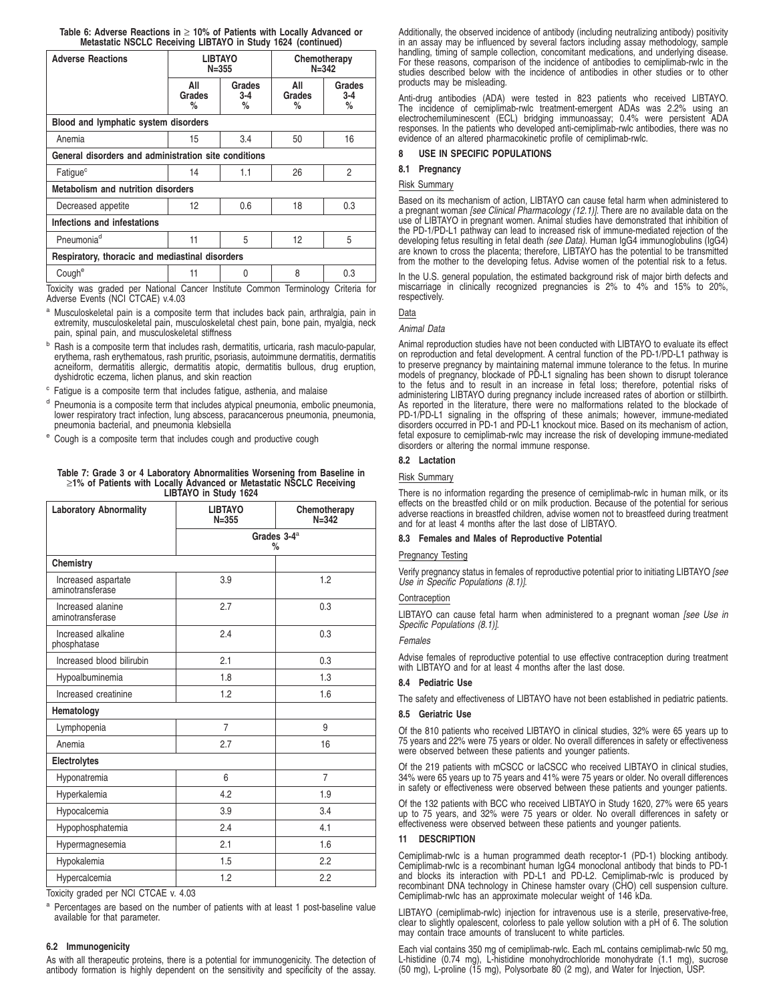| Table 6: Adverse Reactions in $\geq$ 10% of Patients with Locally Advanced or |                                                              |  |  |
|-------------------------------------------------------------------------------|--------------------------------------------------------------|--|--|
|                                                                               | Metastatic NSCLC Receiving LIBTAYO in Study 1624 (continued) |  |  |

| <b>MELASIANG NOCLU RECEIVING LIBIATU IN SUGAY 1024 (CONTINUED)</b> |                             |                      |                           |                                                            |  |  |
|--------------------------------------------------------------------|-----------------------------|----------------------|---------------------------|------------------------------------------------------------|--|--|
| <b>Adverse Reactions</b>                                           | <b>LIBTAYO</b><br>$N = 355$ |                      | Chemotherapy<br>$N = 342$ |                                                            |  |  |
|                                                                    | All<br>Grades<br>℅          | Grades<br>$3-4$<br>% | All<br>Grades<br>%        | Grades<br>3-4<br>%                                         |  |  |
| Blood and lymphatic system disorders                               |                             |                      |                           |                                                            |  |  |
| Anemia                                                             | 15                          | 3.4                  | 50                        | 16                                                         |  |  |
| General disorders and administration site conditions               |                             |                      |                           |                                                            |  |  |
| Fatique <sup>c</sup>                                               | 14                          | 1.1                  | 26                        | 2                                                          |  |  |
| <b>Metabolism and nutrition disorders</b>                          |                             |                      |                           |                                                            |  |  |
| Decreased appetite                                                 | 12                          | 0.6                  | 18                        | 0.3                                                        |  |  |
| Infections and infestations                                        |                             |                      |                           |                                                            |  |  |
| Pneumonia <sup>d</sup>                                             | 11                          | 5                    | 12                        | 5                                                          |  |  |
| Respiratory, thoracic and mediastinal disorders                    |                             |                      |                           |                                                            |  |  |
| Cough <sup>e</sup>                                                 | 11                          | <sup>0</sup>         | 8                         | 0.3                                                        |  |  |
|                                                                    |                             |                      |                           | $\pi$ and the state of $\alpha$ that the state of $\alpha$ |  |  |

Toxicity was graded per National Cancer Institute Common Terminology Criteria for Adverse Events (NCI CTCAE) v.4.03

- a Musculoskeletal pain is a composite term that includes back pain, arthralgia, pain in extremity, musculoskeletal pain, musculoskeletal chest pain, bone pain, myalgia, neck pain, spinal pain, and musculoskeletal stiffness
- <sup>b</sup> Rash is a composite term that includes rash, dermatitis, urticaria, rash maculo-papular, erythema, rash erythematous, rash pruritic, psoriasis, autoimmune dermatitis, dermatitis acneiform, dermatitis allergic, dermatitis atopic, dermatitis bullous, drug eruption, dyshidrotic eczema, lichen planus, and skin reaction
- <sup>c</sup> Fatigue is a composite term that includes fatigue, asthenia, and malaise
- <sup>d</sup> Pneumonia is a composite term that includes atypical pneumonia, embolic pneumonia, lower respiratory tract infection, lung abscess, paracancerous pneumonia, pneumonia, pneumonia bacterial, and pneumonia klebsiella
- <sup>e</sup> Cough is a composite term that includes cough and productive cough

**Table 7: Grade 3 or 4 Laboratory Abnormalities Worsening from Baseline in** ≥**1% of Patients with Locally Advanced or Metastatic NSCLC Receiving LIBTAYO in Study 1624**

| <b>Laboratory Abnormality</b>           | <b>LIBTAYO</b><br>$N = 355$ | Chemotherapy<br>$N = 342$ |  |  |
|-----------------------------------------|-----------------------------|---------------------------|--|--|
|                                         | Grades $3-4^a$<br>$\%$      |                           |  |  |
| Chemistry                               |                             |                           |  |  |
| Increased aspartate<br>aminotransferase | 3.9                         | 1.2                       |  |  |
| Increased alanine<br>aminotransferase   | 2.7                         | 0.3                       |  |  |
| Increased alkaline<br>phosphatase       | 2.4                         | 0.3                       |  |  |
| Increased blood bilirubin               | 2.1                         | 0.3                       |  |  |
| Hypoalbuminemia                         | 1.8                         | 1.3                       |  |  |
| Increased creatinine                    | 1.2                         | 1.6                       |  |  |
| Hematology                              |                             |                           |  |  |
| Lymphopenia                             | $\overline{7}$              | 9                         |  |  |
| Anemia                                  | 2.7                         | 16                        |  |  |
| Electrolytes                            |                             |                           |  |  |
| Hyponatremia                            | 6                           | $\overline{7}$            |  |  |
| Hyperkalemia                            | 4.2                         | 1.9                       |  |  |
| Hypocalcemia                            | 3.9                         | 3.4                       |  |  |
| Hypophosphatemia                        | 2.4                         | 4.1                       |  |  |
| Hypermagnesemia                         | 2.1                         | 1.6                       |  |  |
| Hypokalemia                             | 1.5                         | 2.2                       |  |  |
| Hypercalcemia                           | 1.2                         | 2.2                       |  |  |

Toxicity graded per NCI CTCAE v. 4.03

<sup>a</sup> Percentages are based on the number of patients with at least 1 post-baseline value available for that parameter.

### **6.2 Immunogenicity**

As with all therapeutic proteins, there is a potential for immunogenicity. The detection of antibody formation is highly dependent on the sensitivity and specificity of the assay. Additionally, the observed incidence of antibody (including neutralizing antibody) positivity in an assay may be influenced by several factors including assay methodology, sample handling, timing of sample collection, concomitant medications, and underlying disease. For these reasons, comparison of the incidence of antibodies to cemiplimab-rwlc in the studies described below with the incidence of antibodies in other studies or to other products may be misleading.

Anti-drug antibodies (ADA) were tested in 823 patients who received LIBTAYO. The incidence of cemiplimab-rwlc treatment-emergent ADAs was 2.2% using an electrochemiluminescent (ECL) bridging immunoassay; 0.4% were persistent ADA responses. In the patients who developed anti-cemiplimab-rwlc antibodies, there was no evidence of an altered pharmacokinetic profile of cemiplimab-rwlc.

### **8 USE IN SPECIFIC POPULATIONS**

### **8.1 Pregnancy**

### Risk Summary

Based on its mechanism of action, LIBTAYO can cause fetal harm when administered to a pregnant woman *[see Clinical Pharmacology (12.1)]*. There are no available data on the<br>use of LIBTAYO in pregnant women. Animal studies have demonstrated that inhibition of the PD-1/PD-L1 pathway can lead to increased risk of immune-mediated rejection of the developing fetus resulting in fetal death *(see Data)*. Human IgG4 immunoglobulins (IgG4)<br>are known to cross the placenta; therefore, LIBTAYO has the potential to be transmitted from the mother to the developing fetus. Advise women of the potential risk to a fetus.

In the U.S. general population, the estimated background risk of major birth defects and miscarriage in clinically recognized pregnancies is 2% to 4% and 15% to 20%, respectively.

Data

Animal Data

Animal reproduction studies have not been conducted with LIBTAYO to evaluate its effect on reproduction and fetal development. A central function of the PD-1/PD-L1 pathway is to preserve pregnancy by maintaining maternal immune tolerance to the fetus. In murine models of pregnancy, blockade of PD-L1 signaling has been shown to disrupt tolerance to the fetus and to result in an increase in fetal loss; therefore, potential risks of administering LIBTAYO during pregnancy include increased rates of abortion or stillbirth. As reported in the literature, there were no malformations related to the blockade of PD-1/PD-L1 signaling in the offspring of these animals; however, immune-mediated disorders occurred in PD-1 and PD-L1 knockout mice. Based on its mechanism of action, fetal exposure to cemiplimab-rwlc may increase the risk of developing immune-mediated disorders or altering the normal immune response.

### **8.2 Lactation**

### Risk Summary

There is no information regarding the presence of cemiplimab-rwlc in human milk, or its effects on the breastfed child or on milk production. Because of the potential for serious adverse reactions in breastfed children, advise women not to breastfeed during treatment and for at least 4 months after the last dose of LIBTAYO.

### **8.3 Females and Males of Reproductive Potential**

### Pregnancy Testing

Verify pregnancy status in females of reproductive potential prior to initiating LIBTAYO [see Use in Specific Populations (8.1)].

### **Contraception**

LIBTAYO can cause fetal harm when administered to a pregnant woman [see Use in Specific Populations (8.1)].

### Females

Advise females of reproductive potential to use effective contraception during treatment with LIBTAYO and for at least 4 months after the last dose.

### **8.4 Pediatric Use**

The safety and effectiveness of LIBTAYO have not been established in pediatric patients.

### **8.5 Geriatric Use**

Of the 810 patients who received LIBTAYO in clinical studies, 32% were 65 years up to 75 years and 22% were 75 years or older. No overall differences in safety or effectiveness were observed between these patients and younger patients.

Of the 219 patients with mCSCC or laCSCC who received LIBTAYO in clinical studies, 34% were 65 years up to 75 years and 41% were 75 years or older. No overall differences in safety or effectiveness were observed between these patients and younger patients.

Of the 132 patients with BCC who received LIBTAYO in Study 1620, 27% were 65 years up to 75 years, and 32% were 75 years or older. No overall differences in safety or effectiveness were observed between these patients and younger patients.

### **11 DESCRIPTION**

Cemiplimab-rwlc is a human programmed death receptor-1 (PD-1) blocking antibody. Cemiplimab-rwlc is a recombinant human IgG4 monoclonal antibody that binds to PD-1 and blocks its interaction with PD-L1 and PD-L2. Cemiplimab-rwlc is produced by recombinant DNA technology in Chinese hamster ovary (CHO) cell suspension culture. Cemiplimab-rwlc has an approximate molecular weight of 146 kDa.

LIBTAYO (cemiplimab-rwlc) injection for intravenous use is a sterile, preservative-free, clear to slightly opalescent, colorless to pale yellow solution with a pH of 6. The solution may contain trace amounts of translucent to white particles.

Each vial contains 350 mg of cemiplimab-rwlc. Each mL contains cemiplimab-rwlc 50 mg, L-histidine (0.74 mg), L-histidine monohydrochloride monohydrate (1.1 mg), sucrose (50 mg), L-proline (15 mg), Polysorbate 80 (2 mg), and Water for Injection, USP.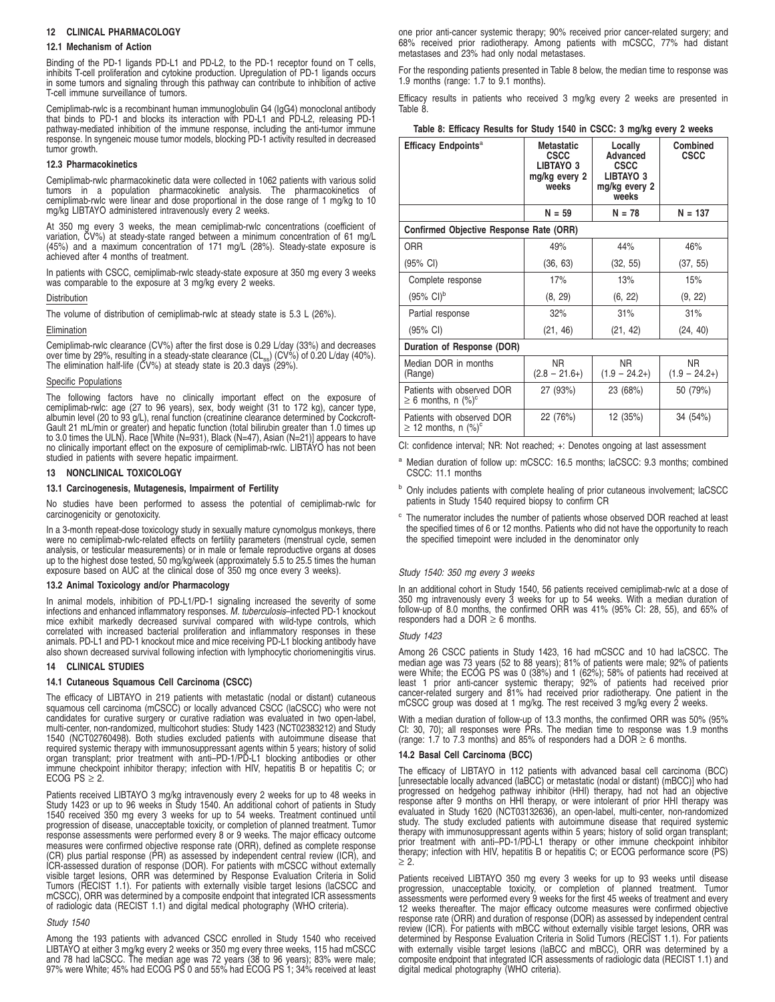### **12 CLINICAL PHARMACOLOGY**

### **12.1 Mechanism of Action**

Binding of the PD-1 ligands PD-L1 and PD-L2, to the PD-1 receptor found on T cells, inhibits T-cell proliferation and cytokine production. Upregulation of PD-1 ligands occurs in some tumors and signaling through this pathway can contribute to inhibition of active T-cell immune surveillance of tumors.

Cemiplimab-rwlc is a recombinant human immunoglobulin G4 (IgG4) monoclonal antibody that binds to PD-1 and blocks its interaction with PD-L1 and PD-L2, releasing PD-1 pathway-mediated inhibition of the immune response, including the anti-tumor immune response. In syngeneic mouse tumor models, blocking PD-1 activity resulted in decreased tumor growth.

### **12.3 Pharmacokinetics**

Cemiplimab-rwlc pharmacokinetic data were collected in 1062 patients with various solid tumors in a population pharmacokinetic analysis. The pharmacokinetics of cemiplimab-rwlc were linear and dose proportional in the dose range of 1 mg/kg to 10 mg/kg LIBTAYO administered intravenously every 2 weeks.

At 350 mg every 3 weeks, the mean cemiplimab-rwlc concentrations (coefficient of variation, CV%) at steady-state ranged between a minimum concentration of 61 mg/L (45%) and a maximum concentration of 171 mg/L (28%). Steady-state exposure is achieved after 4 months of treatment.

In patients with CSCC, cemiplimab-rwlc steady-state exposure at 350 mg every 3 weeks was comparable to the exposure at 3 mg/kg every 2 weeks.

#### **Distribution**

The volume of distribution of cemiplimab-rwlc at steady state is 5.3 L (26%).

Elimination

Cemiplimab-rwlc clearance (CV%) after the first dose is 0.29 L/day (33%) and decreases over time by 29%, resulting in a steady-state clearance (CL<sub>ss</sub>) (CV%) of 0.20 L/day (40%).<br>The elimination half-life (CV%) at steady state is 20.3 days (29%).

### Specific Populations

The following factors have no clinically important effect on the exposure of cemiplimab-rwlc: age (27 to 96 years), sex, body weight (31 to 172 kg), cancer type, albumin level (20 to 93 g/L), renal function (creatinine clearance determined by Cockcroft-Gault 21 mL/min or greater) and hepatic function (total bilirubin greater than 1.0 times up to 3.0 times the ULN). Race [White (N=931), Black (N=47), Asian (N=21)] appears to have no clinically important effect on the exposure of cemiplimab-rwlc. LIBTAYO has not been studied in patients with severe hepatic impairment.

### **13 NONCLINICAL TOXICOLOGY**

### **13.1 Carcinogenesis, Mutagenesis, Impairment of Fertility**

No studies have been performed to assess the potential of cemiplimab-rwlc for carcinogenicity or genotoxicity.

In a 3-month repeat-dose toxicology study in sexually mature cynomolgus monkeys, there were no cemiplimab-rwlc-related effects on fertility parameters (menstrual cycle, semen analysis, or testicular measurements) or in male or female reproductive organs at doses up to the highest dose tested, 50 mg/kg/week (approximately 5.5 to 25.5 times the human exposure based on AUC at the clinical dose of 350 mg once every 3 weeks).

### **13.2 Animal Toxicology and/or Pharmacology**

In animal models, inhibition of PD-L1/PD-1 signaling increased the severity of some infections and enhanced inflammatory responses. M. tuberculosis–infected PD-1 knockout mice exhibit markedly decreased survival compared with wild-type controls, which correlated with increased bacterial proliferation and inflammatory responses in these animals. PD-L1 and PD-1 knockout mice and mice receiving PD-L1 blocking antibody have also shown decreased survival following infection with lymphocytic choriomeningitis virus.

### **14 CLINICAL STUDIES**

### **14.1 Cutaneous Squamous Cell Carcinoma (CSCC)**

The efficacy of LIBTAYO in 219 patients with metastatic (nodal or distant) cutaneous squamous cell carcinoma (mCSCC) or locally advanced CSCC (laCSCC) who were not candidates for curative surgery or curative radiation was evaluated in two open-label, multi-center, non-randomized, multicohort studies: Study 1423 (NCT02383212) and Study 1540 (NCT02760498). Both studies excluded patients with autoimmune disease that<br>required systemic therapy with immunosuppressant agents within 5 years; history of solid<br>organ transplant; prior treatment with anti–PD-1/PD-L immune checkpoint inhibitor therapy; infection with HIV, hepatitis B or hepatitis C; or ECOG  $PS \geq 2$ .

Patients received LIBTAYO 3 mg/kg intravenously every 2 weeks for up to 48 weeks in Study 1423 or up to 96 weeks in Study 1540. An additional cohort of patients in Study 1540 received 350 mg every 3 weeks for up to 54 weeks. Treatment continued until progression of disease, unacceptable toxicity, or completion of planned treatment. Tumor response assessments were performed every 8 or 9 weeks. The major efficacy outcome measures were confirmed objective response rate (ORR), defined as complete response (CR) plus partial response (PR) as assessed by independent central review (ICR), and ICR-assessed duration of response (DOR). For patients with mCSCC without externally visible target lesions, ORR was determined by Response Evaluation Criteria in Solid Tumors (RECIST 1.1). For patients with externally visible target lesions (laCSCC and mCSCC), ORR was determined by a composite endpoint that integrated ICR assessments of radiologic data (RECIST 1.1) and digital medical photography (WHO criteria).

### Study 1540

Among the 193 patients with advanced CSCC enrolled in Study 1540 who received LIBTAYO at either 3 mg/kg every 2 weeks or 350 mg every three weeks, 115 had mCSCC<br>and 78 had laCSCC. The median age was 72 years (38 to 96 years); 83% were male;<br>97% were White; 45% had ECOG PS 0 and 55% had ECOG PS 1; 34 one prior anti-cancer systemic therapy; 90% received prior cancer-related surgery; and 68% received prior radiotherapy. Among patients with mCSCC, 77% had distant metastases and 23% had only nodal metastases.

For the responding patients presented in Table 8 below, the median time to response was 1.9 months (range: 1.7 to 9.1 months).

Efficacy results in patients who received 3 mg/kg every 2 weeks are presented in Table 8.

| Table 8: Efficacy Results for Study 1540 in CSCC: 3 mg/kg every 2 weeks |  |  |  |  |  |  |  |
|-------------------------------------------------------------------------|--|--|--|--|--|--|--|
|-------------------------------------------------------------------------|--|--|--|--|--|--|--|

| Efficacy Endpoints <sup>a</sup>                                    | <b>Metastatic</b><br><b>CSCC</b><br>LIBTAYO 3<br>mg/kg every 2<br>weeks | Locally<br>Advanced<br><b>CSCC</b><br>LIBTAYO 3<br>mg/kg every 2<br>weeks | Combined<br><b>CSCC</b> |
|--------------------------------------------------------------------|-------------------------------------------------------------------------|---------------------------------------------------------------------------|-------------------------|
|                                                                    | $N = 59$                                                                | $N = 78$                                                                  | $N = 137$               |
| Confirmed Objective Response Rate (ORR)                            |                                                                         |                                                                           |                         |
| <b>ORR</b>                                                         | 49%                                                                     | 44%                                                                       | 46%                     |
| (95% CI)                                                           | (36, 63)                                                                | (32, 55)                                                                  | (37, 55)                |
| Complete response                                                  | 17%                                                                     | 13%                                                                       | 15%                     |
| $(95\% \text{ Cl})^b$                                              | (8, 29)                                                                 | (6, 22)                                                                   | (9, 22)                 |
| Partial response                                                   | 32%                                                                     | 31%                                                                       | 31%                     |
| $(95% \text{ Cl})$                                                 | (21, 46)                                                                | (21, 42)                                                                  | (24, 40)                |
| Duration of Response (DOR)                                         |                                                                         |                                                                           |                         |
| Median DOR in months<br>(Range)                                    | NR.<br>$(2.8 - 21.6+)$                                                  | N <sub>R</sub><br>$(1.9 - 24.2+)$                                         | NR.<br>$(1.9 - 24.2+)$  |
| Patients with observed DOR<br>$\geq 6$ months, n $(\%)^c$          | 27 (93%)                                                                | 23 (68%)                                                                  | 50 (79%)                |
| Patients with observed DOR<br>$\geq$ 12 months, n (%) <sup>c</sup> | 22 (76%)                                                                | 12 (35%)                                                                  | 34 (54%)                |

CI: confidence interval; NR: Not reached; +: Denotes ongoing at last assessment

- Median duration of follow up: mCSCC: 16.5 months; laCSCC: 9.3 months; combined CSCC: 11.1 months
- b Only includes patients with complete healing of prior cutaneous involvement; laCSCC patients in Study 1540 required biopsy to confirm CR
- <sup>c</sup> The numerator includes the number of patients whose observed DOR reached at least the specified times of 6 or 12 months. Patients who did not have the opportunity to reach the specified timepoint were included in the denominator only

### Study 1540: 350 mg every 3 weeks

In an additional cohort in Study 1540, 56 patients received cemiplimab-rwlc at a dose of 350 mg intravenously every 3 weeks for up to 54 weeks. With a median duration of follow-up of 8.0 months, the confirmed ORR was 41% (95% CI: 28, 55), and 65% of responders had a DOR  $\geq 6$  months.

#### Study 1423

Among 26 CSCC patients in Study 1423, 16 had mCSCC and 10 had laCSCC. The median age was 73 years (52 to 88 years); 81% of patients were male; 92% of patients were White; the ECOG PS was 0 (38%) and 1 (62%); 58% of patients had received at least 1 prior anti-cancer systemic therapy; 92% of patients had received prior cancer-related surgery and 81% had received prior radiotherapy. One patient in the mCSCC group was dosed at 1 mg/kg. The rest received 3 mg/kg every 2 weeks.

With a median duration of follow-up of 13.3 months, the confirmed ORR was 50% (95% CI: 30, 70); all responses were PRs. The median time to response was 1.9 months (range: 1.7 to 7.3 months) and 85% of responders had a DOR  $\geq$  6 months.

#### **14.2 Basal Cell Carcinoma (BCC)**

The efficacy of LIBTAYO in 112 patients with advanced basal cell carcinoma (BCC) [unresectable locally advanced (laBCC) or metastatic (nodal or distant) (mBCC)] who had progressed on hedgehog pathway inhibitor (HHI) therapy, had not had an objective response after 9 months on HHI therapy, or were intolerant of prior HHI therapy was evaluated in Study 1620 (NCT03132636), an open-label, multi-center, non-randomized study. The study excluded patients with autoimmune disease that required systemic therapy with immunosuppressant agents within 5 years; history of solid organ transplant; prior treatment with anti–PD-1/PD-L1 therapy or other immune checkpoint inhibitor therapy; infection with HIV, hepatitis B or hepatitis C; or ECOG performance score (PS) ≥ 2.

Patients received LIBTAYO 350 mg every 3 weeks for up to 93 weeks until disease progression, unacceptable toxicity, or completion of planned treatment. Tumor assessments were performed every 9 weeks for the first 45 weeks of treatment and every 12 weeks thereafter. The major efficacy outcome measures were confirmed objective response rate (ORR) and duration of response (DOR) as assessed by independent central review (ICR). For patients with mBCC without externally visible target lesions, ORR was determined by Response Evaluation Criteria in Solid Tumors (RECIST 1.1). For patients with externally visible target lesions (laBCC and mBCC), ORR was determined by a composite endpoint that integrated ICR assessments of radiologic data (RECIST 1.1) and digital medical photography (WHO criteria).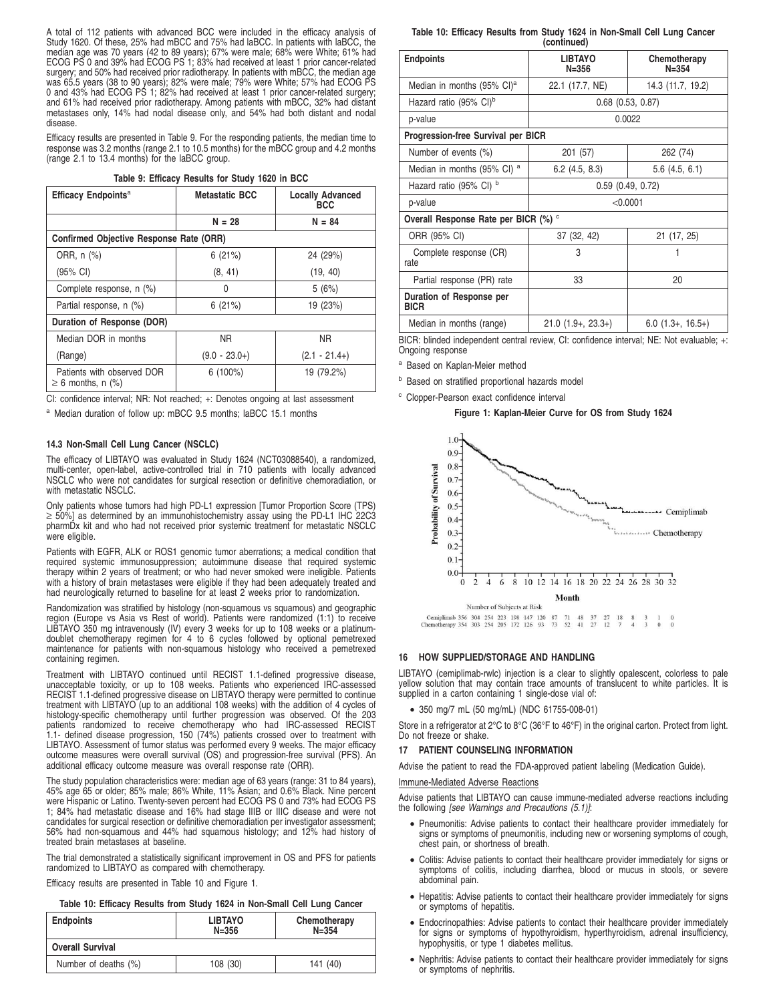A total of 112 patients with advanced BCC were included in the efficacy analysis of Study 1620. Of these, 25% had mBCC and 75% had laBCC. In patients with laBCC, the median age was 70 years (42 to 89 years); 67% were male; 68% were White; 61% had ECOG PS 0 and 39% had ECOG PS 1; 83% had received at least 1 prior cancer-related surgery; and 50% had received prior radiotherapy. In patients with mBCC, the median age was 65.5 years (38 to 90 years); 82% were male; 79% were White; 57% had ECOG PS 0 and 43% had ECOG PS 1; 82% had received at least 1 prior cancer-related surgery; and 61% had received prior radiotherapy. Among patients with mBCC, 32% had distant metastases only, 14% had nodal disease only, and 54% had both distant and nodal disease.

Efficacy results are presented in Table 9. For the responding patients, the median time to response was 3.2 months (range 2.1 to 10.5 months) for the mBCC group and 4.2 months (range 2.1 to 13.4 months) for the laBCC group.

| Table 9: Efficacy Results for Study 1620 in BCC |  |
|-------------------------------------------------|--|
|-------------------------------------------------|--|

| Efficacy Endpoints <sup>a</sup>                      | <b>Metastatic BCC</b> | <b>Locally Advanced</b><br><b>BCC</b> |  |  |  |
|------------------------------------------------------|-----------------------|---------------------------------------|--|--|--|
|                                                      | $N = 28$              | $N = 84$                              |  |  |  |
| Confirmed Objective Response Rate (ORR)              |                       |                                       |  |  |  |
| ORR, n (%)                                           | 6(21%)                | 24 (29%)                              |  |  |  |
| (95% CI)                                             | (8, 41)               | (19, 40)                              |  |  |  |
| Complete response, n (%)                             | 0                     | 5(6%)                                 |  |  |  |
| Partial response, n (%)                              | 6(21%)                | 19 (23%)                              |  |  |  |
| Duration of Response (DOR)                           |                       |                                       |  |  |  |
| Median DOR in months                                 | <b>NR</b>             | NR.                                   |  |  |  |
| (Range)                                              | $(9.0 - 23.0+)$       | $(2.1 - 21.4+)$                       |  |  |  |
| Patients with observed DOR<br>$\geq 6$ months, n (%) | $6(100\%)$            | 19 (79.2%)                            |  |  |  |

CI: confidence interval; NR: Not reached; +: Denotes ongoing at last assessment

a Median duration of follow up: mBCC 9.5 months; laBCC 15.1 months

### **14.3 Non-Small Cell Lung Cancer (NSCLC)**

The efficacy of LIBTAYO was evaluated in Study 1624 (NCT03088540), a randomized, multi-center, open-label, active-controlled trial in 710 patients with locally advanced NSCLC who were not candidates for surgical resection or definitive chemoradiation, or with metastatic NSCLC.

Only patients whose tumors had high PD-L1 expression [Tumor Proportion Score (TPS) ≥ 50%] as determined by an immunohistochemistry assay using the PD-L1 IHC 22C3 pharmDx kit and who had not received prior systemic treatment for metastatic NSCLC were eligible.

Patients with EGFR, ALK or ROS1 genomic tumor aberrations; a medical condition that required systemic immunosuppression; autoimmune disease that required systemic therapy within 2 years of treatment; or who had never smoked were ineligible. Patients with a history of brain metastases were eligible if they had been adequately treated and had neurologically returned to baseline for at least 2 weeks prior to randomization.

Randomization was stratified by histology (non-squamous vs squamous) and geographic<br>region (Europe vs Asia vs Rest of world). Patients were randomized (1:1) to receive<br>LIBTAYO 350 mg intravenously (IV) every 3 weeks for up containing regimen.

Treatment with LIBTAYO continued until RECIST 1.1-defined progressive disease, unacceptable toxicity, or up to 108 weeks. Patients who experienced IRC-assessed RECIST 1.1-defined progressive disease on LIBTAYO therapy were permitted to continue treatment with LIBTAYO (up to an additional 108 weeks) with the addition of 4 cycles of histology-specific chemotherapy until further progression was observed. Of the 203<br>patients randomized to receive chemotherapy who had IRC-assessed RECIST<br>1.1- defined disease progression, 150 (74%) patients crossed over t LIBTAYO. Assessment of tumor status was performed every 9 weeks. The major efficacy outcome measures were overall survival (OS) and progression-free survival (PFS). An additional efficacy outcome measure was overall response rate (ORR).

The study population characteristics were: median age of 63 years (range: 31 to 84 years), 45% age 65 or older; 85% male; 86% White, 11% Asian; and 0.6% Black. Nine percent were Hispanic or Latino. Twenty-seven percent had ECOG PS 0 and 73% had ECOG PS 1; 84% had metastatic disease and 16% had stage IIIB or IIIC disease and were not candidates for surgical resection or definitive chemoradiation per investigator assessment; 56% had non-squamous and 44% had squamous histology; and 12% had history of treated brain metastases at baseline.

The trial demonstrated a statistically significant improvement in OS and PFS for patients randomized to LIBTAYO as compared with chemotherapy.

Efficacy results are presented in Table 10 and Figure 1.

**Table 10: Efficacy Results from Study 1624 in Non-Small Cell Lung Cancer**

| <b>Endpoints</b>        | <b>LIBTAYO</b><br>$N = 356$ | Chemotherapy<br>$N = 354$ |
|-------------------------|-----------------------------|---------------------------|
| <b>Overall Survival</b> |                             |                           |
| Number of deaths (%)    | 108 (30)                    | 141 (40)                  |

**Table 10: Efficacy Results from Study 1624 in Non-Small Cell Lung Cancer (continued)**

| <b>Endpoints</b>                        | <b>LIBTAYO</b><br>$N = 356$ | Chemotherapy<br>$N = 354$ |  |  |  |  |
|-----------------------------------------|-----------------------------|---------------------------|--|--|--|--|
| Median in months (95% CI) <sup>a</sup>  | 22.1 (17.7, NE)             | 14.3 (11.7, 19.2)         |  |  |  |  |
| Hazard ratio (95% CI) <sup>b</sup>      | $0.68$ $(0.53, 0.87)$       |                           |  |  |  |  |
| p-value                                 | 0.0022                      |                           |  |  |  |  |
| Progression-free Survival per BICR      |                             |                           |  |  |  |  |
| Number of events (%)                    | 201 (57)                    | 262 (74)                  |  |  |  |  |
| Median in months (95% CI) <sup>a</sup>  | $6.2$ (4.5, 8.3)            | $5.6$ (4.5, 6.1)          |  |  |  |  |
| Hazard ratio (95% CI) b                 | $0.59$ $(0.49, 0.72)$       |                           |  |  |  |  |
| p-value                                 | < 0.0001                    |                           |  |  |  |  |
| Overall Response Rate per BICR (%) °    |                             |                           |  |  |  |  |
| ORR (95% CI)                            | 37 (32, 42)                 | 21 (17, 25)               |  |  |  |  |
| Complete response (CR)<br>rate          | 3                           |                           |  |  |  |  |
| Partial response (PR) rate              | 33<br>20                    |                           |  |  |  |  |
| Duration of Response per<br><b>BICR</b> |                             |                           |  |  |  |  |
| Median in months (range)                | $21.0(1.9+, 23.3+)$         | $6.0$ (1.3+, 16.5+)       |  |  |  |  |

BICR: blinded independent central review, CI: confidence interval; NE: Not evaluable; +: Ongoing response

<sup>a</sup> Based on Kaplan-Meier method

**b** Based on stratified proportional hazards model

Clopper-Pearson exact confidence interval

#### **Figure 1: Kaplan-Meier Curve for OS from Study 1624**



#### **16 HOW SUPPLIED/STORAGE AND HANDLING**

LIBTAYO (cemiplimab-rwlc) injection is a clear to slightly opalescent, colorless to pale yellow solution that may contain trace amounts of translucent to white particles. It is supplied in a carton containing 1 single-dose vial of:

• 350 mg/7 mL (50 mg/mL) (NDC 61755-008-01)

Store in a refrigerator at 2°C to 8°C (36°F to 46°F) in the original carton. Protect from light. Do not freeze or shake.

#### **17 PATIENT COUNSELING INFORMATION**

Advise the patient to read the FDA-approved patient labeling (Medication Guide).

### Immune-Mediated Adverse Reactions

Advise patients that LIBTAYO can cause immune-mediated adverse reactions including the following [see Warnings and Precautions (5.1)]:

- Pneumonitis: Advise patients to contact their healthcare provider immediately for signs or symptoms of pneumonitis, including new or worsening symptoms of cough, chest pain, or shortness of breath.
- Colitis: Advise patients to contact their healthcare provider immediately for signs or symptoms of colitis, including diarrhea, blood or mucus in stools, or severe abdominal pain.
- Hepatitis: Advise patients to contact their healthcare provider immediately for signs or symptoms of hepatitis.
- Endocrinopathies: Advise patients to contact their healthcare provider immediately for signs or symptoms of hypothyroidism, hyperthyroidism, adrenal insufficiency, hypophysitis, or type 1 diabetes mellitus.
- Nephritis: Advise patients to contact their healthcare provider immediately for signs or symptoms of nephritis.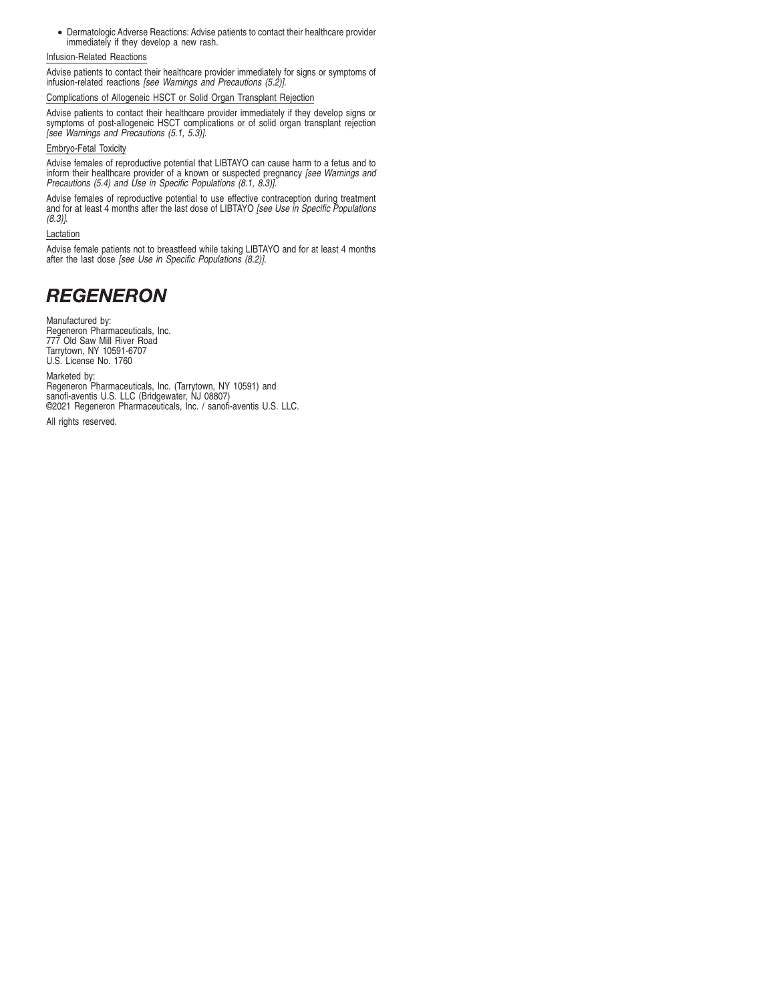• Dermatologic Adverse Reactions: Advise patients to contact their healthcare provider immediately if they develop a new rash.

### Infusion-Related Reactions

Advise patients to contact their healthcare provider immediately for signs or symptoms of infusion-related reactions [see Warnings and Precautions (5.2)].

### Complications of Allogeneic HSCT or Solid Organ Transplant Rejection

Advise patients to contact their healthcare provider immediately if they develop signs or symptoms of post-allogeneic HSCT complications or of solid organ transplant rejection [see Warnings and Precautions (5.1, 5.3)].

### Embryo-Fetal Toxicity

Advise females of reproductive potential that LIBTAYO can cause harm to a fetus and to inform their healthcare provider of a known or suspected pregnancy [see Warnings and Precautions (5.4) and Use in Specific Populations (8.1, 8.3)].

Advise females of reproductive potential to use effective contraception during treatment and for at least 4 months after the last dose of LIBTAYO [see Use in Specific Populations (8.3)].

### Lactation

Advise female patients not to breastfeed while taking LIBTAYO and for at least 4 months after the last dose [see Use in Specific Populations (8.2)].

# **REGENERON**

Manufactured by: Regeneron Pharmaceuticals, Inc. 777 Old Saw Mill River Road Tarrytown, NY 10591-6707 U.S. License No. 1760

Marketed by: Regeneron Pharmaceuticals, Inc. (Tarrytown, NY 10591) and sanofi-aventis U.S. LLC (Bridgewater, NJ 08807) ©2021 Regeneron Pharmaceuticals, Inc. / sanofi-aventis U.S. LLC.

All rights reserved.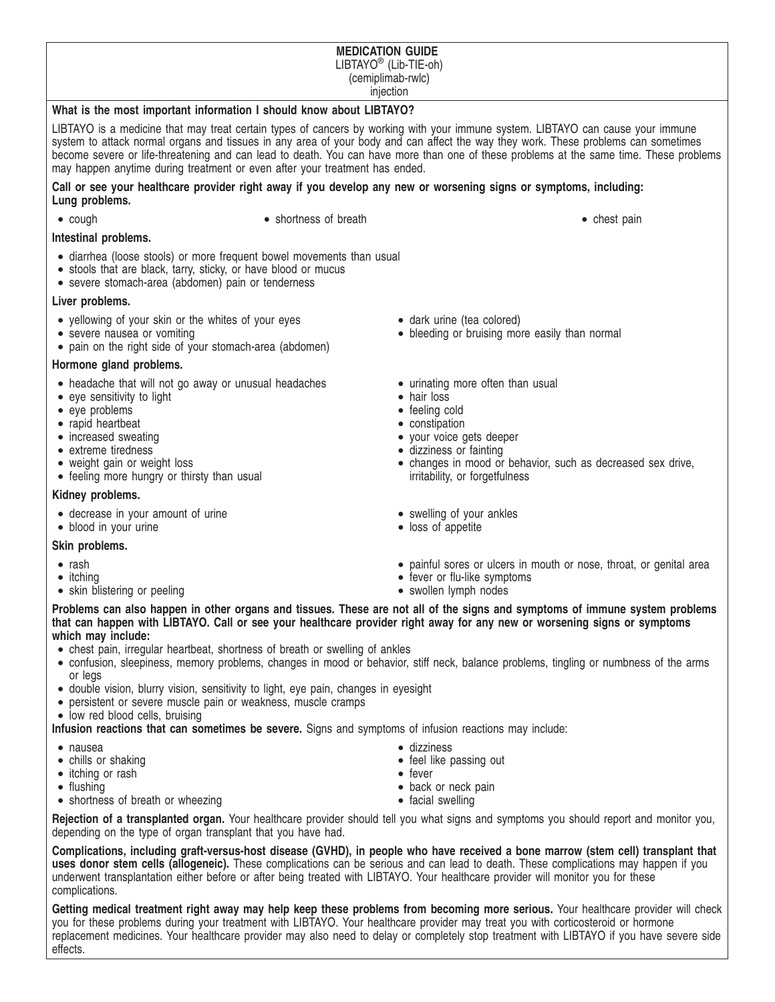### **MEDICATION GUIDE** LIBTAYO® (Lib-TIE-oh) (cemiplimab-rwlc) injection

### **What is the most important information I should know about LIBTAYO?**

LIBTAYO is a medicine that may treat certain types of cancers by working with your immune system. LIBTAYO can cause your immune system to attack normal organs and tissues in any area of your body and can affect the way they work. These problems can sometimes become severe or life-threatening and can lead to death. You can have more than one of these problems at the same time. These problems may happen anytime during treatment or even after your treatment has ended.

### **Call or see your healthcare provider right away if you develop any new or worsening signs or symptoms, including: Lung problems.**

- 
- cough shortness of breath shortness of breath chest pain

### **Intestinal problems.**

- diarrhea (loose stools) or more frequent bowel movements than usual
- stools that are black, tarry, sticky, or have blood or mucus
- severe stomach-area (abdomen) pain or tenderness

### **Liver problems.**

- yellowing of your skin or the whites of your eyes
- severe nausea or vomiting
- pain on the right side of your stomach-area (abdomen)

### **Hormone gland problems.**

- headache that will not go away or unusual headaches
- eye sensitivity to light
- eye problems
- rapid heartbeat
- increased sweating
- extreme tiredness
- weight gain or weight loss
- feeling more hungry or thirsty than usual

### **Kidney problems.**

- decrease in your amount of urine
- blood in your urine

### **Skin problems.**

- rash
- itching
- skin blistering or peeling
- dark urine (tea colored)
- bleeding or bruising more easily than normal
- urinating more often than usual
- hair loss
- feeling cold
- constipation
- your voice gets deeper
- dizziness or fainting • changes in mood or behavior, such as decreased sex drive, irritability, or forgetfulness
- swelling of your ankles
- loss of appetite
- painful sores or ulcers in mouth or nose, throat, or genital area
- fever or flu-like symptoms
- swollen lymph nodes

**Problems can also happen in other organs and tissues. These are not all of the signs and symptoms of immune system problems that can happen with LIBTAYO. Call or see your healthcare provider right away for any new or worsening signs or symptoms which may include:**

- chest pain, irregular heartbeat, shortness of breath or swelling of ankles
- confusion, sleepiness, memory problems, changes in mood or behavior, stiff neck, balance problems, tingling or numbness of the arms or legs
- double vision, blurry vision, sensitivity to light, eye pain, changes in eyesight
- persistent or severe muscle pain or weakness, muscle cramps
- low red blood cells, bruising

**Infusion reactions that can sometimes be severe.** Signs and symptoms of infusion reactions may include:

- nausea
- chills or shaking
- itching or rash
- flushing
- shortness of breath or wheezing

**Rejection of a transplanted organ.** Your healthcare provider should tell you what signs and symptoms you should report and monitor you, depending on the type of organ transplant that you have had.

**Complications, including graft-versus-host disease (GVHD), in people who have received a bone marrow (stem cell) transplant that uses donor stem cells (allogeneic).** These complications can be serious and can lead to death. These complications may happen if you underwent transplantation either before or after being treated with LIBTAYO. Your healthcare provider will monitor you for these complications.

**Getting medical treatment right away may help keep these problems from becoming more serious.** Your healthcare provider will check you for these problems during your treatment with LIBTAYO. Your healthcare provider may treat you with corticosteroid or hormone replacement medicines. Your healthcare provider may also need to delay or completely stop treatment with LIBTAYO if you have severe side effects.

- dizziness
- feel like passing out
- back or neck pain
- facial swelling
- 
- fever